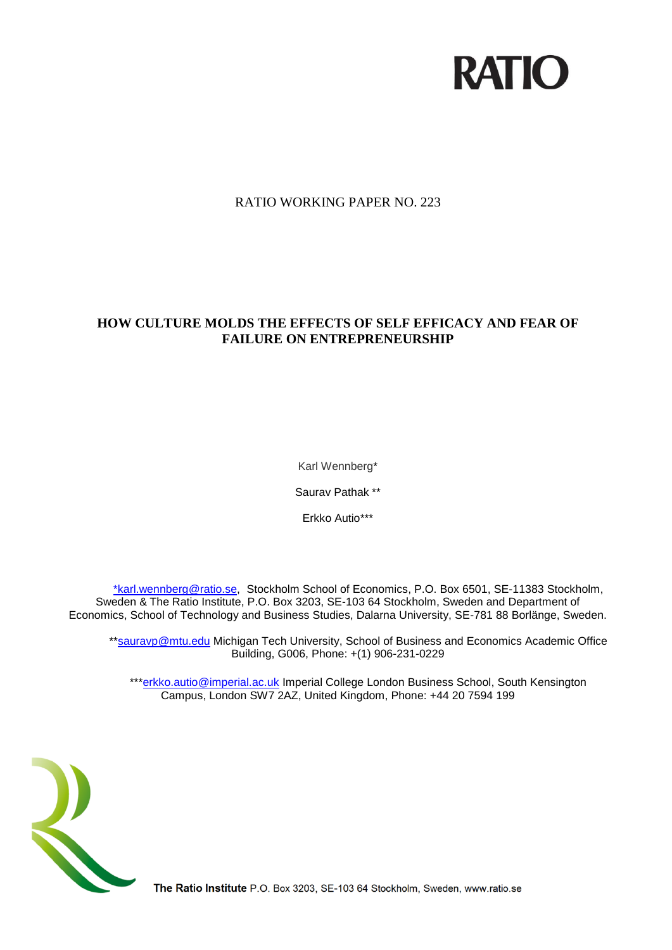# **RATIO**

# RATIO WORKING PAPER NO. 223

# **HOW CULTURE MOLDS THE EFFECTS OF SELF EFFICACY AND FEAR OF FAILURE ON ENTREPRENEURSHIP**

Karl Wennberg\*

Saurav Pathak \*\*

Erkko Autio\*\*\*

[\\*karl.wennberg@ratio.se,](mailto:*karl.wennberg@ratio.se) Stockholm School of Economics, P.O. Box 6501, SE-11383 Stockholm, Sweden & The Ratio Institute, P.O. Box 3203, SE-103 64 Stockholm, Sweden and Department of Economics, School of Technology and Business Studies, Dalarna University, SE-781 88 Borlänge, Sweden.

\*[\\*sauravp@mtu.edu](https://webmail.hhs.se/owa/redir.aspx?C=0fb1ad5a063b420f96e6c360f16389d9&URL=mailto%3asauravp%40mtu.edu) Michigan Tech University, School of Business and Economics Academic Office Building, G006, Phone: +(1) 906-231-0229

\*\*[\\*erkko.autio@imperial.ac.uk](mailto:erkko.autio@imperial.ac.uk) Imperial College London Business School, South Kensington Campus, London SW7 2AZ, United Kingdom, Phone: +44 20 7594 199



The Ratio Institute P.O. Box 3203, SE-103 64 Stockholm, Sweden, www.ratio.se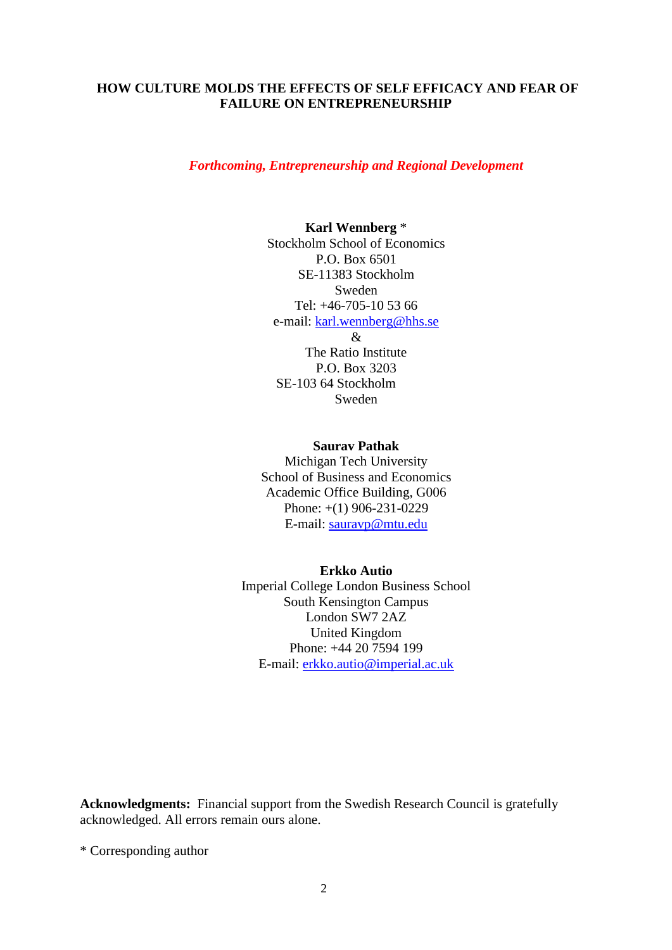# **HOW CULTURE MOLDS THE EFFECTS OF SELF EFFICACY AND FEAR OF FAILURE ON ENTREPRENEURSHIP**

## *Forthcoming, Entrepreneurship and Regional Development*

# **Karl Wennberg** \*

Stockholm School of Economics P.O. Box 6501 SE-11383 Stockholm Sweden Tel: +46-705-10 53 66 e-mail: [karl.wennberg@hhs.se](mailto:karl.wennberg@hhs.se) & The Ratio Institute P.O. Box 3203

SE-103 64 Stockholm Sweden

#### **Saurav Pathak**

Michigan Tech University School of Business and Economics Academic Office Building, G006 Phone: +(1) 906-231-0229 E-mail: [sauravp@mtu.edu](https://webmail.hhs.se/owa/redir.aspx?C=0fb1ad5a063b420f96e6c360f16389d9&URL=mailto%3asauravp%40mtu.edu)

#### **Erkko Autio**

Imperial College London Business School South Kensington Campus London SW7 2AZ United Kingdom Phone: +44 20 7594 199 E-mail: [erkko.autio@imperial.ac.uk](mailto:erkko.autio@imperial.ac.uk)

**Acknowledgments:** Financial support from the Swedish Research Council is gratefully acknowledged. All errors remain ours alone.

\* Corresponding author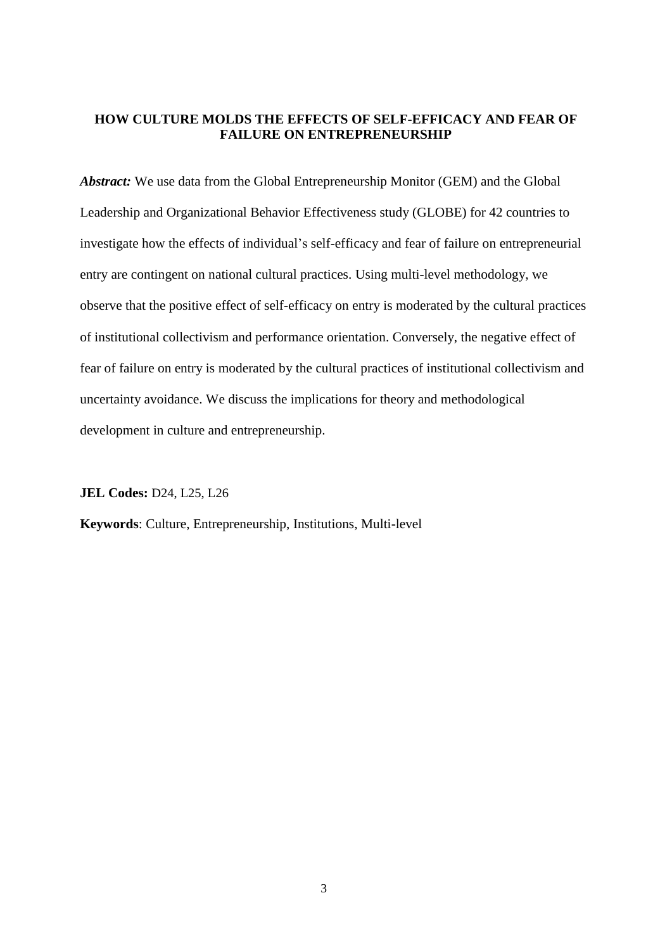# **HOW CULTURE MOLDS THE EFFECTS OF SELF-EFFICACY AND FEAR OF FAILURE ON ENTREPRENEURSHIP**

*Abstract:* We use data from the Global Entrepreneurship Monitor (GEM) and the Global Leadership and Organizational Behavior Effectiveness study (GLOBE) for 42 countries to investigate how the effects of individual's self-efficacy and fear of failure on entrepreneurial entry are contingent on national cultural practices. Using multi-level methodology, we observe that the positive effect of self-efficacy on entry is moderated by the cultural practices of institutional collectivism and performance orientation. Conversely, the negative effect of fear of failure on entry is moderated by the cultural practices of institutional collectivism and uncertainty avoidance. We discuss the implications for theory and methodological development in culture and entrepreneurship.

**JEL Codes:** D24, L25, L26

**Keywords**: Culture, Entrepreneurship, Institutions, Multi-level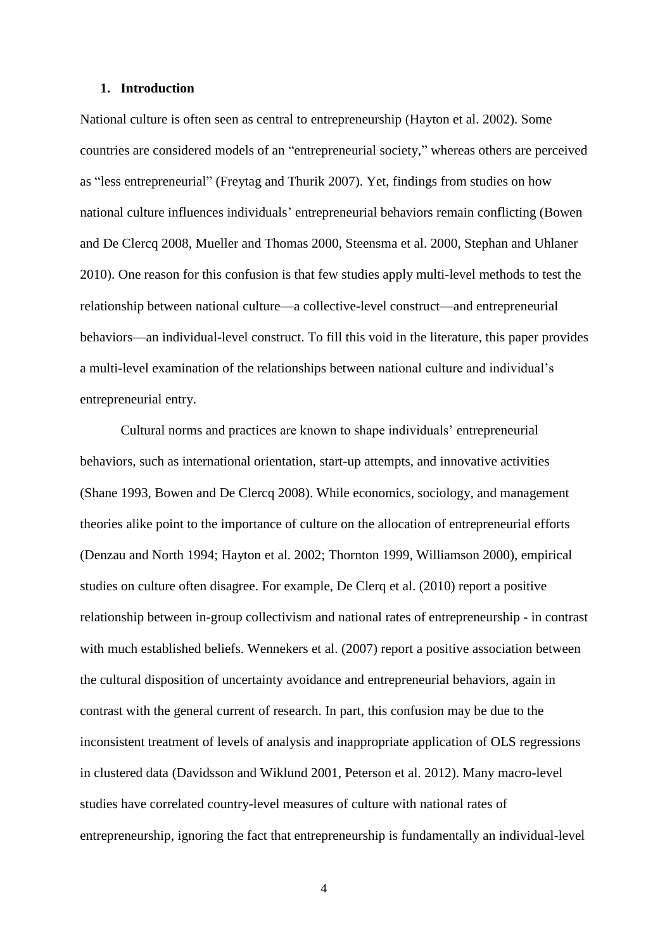#### **1. Introduction**

National culture is often seen as central to entrepreneurship (Hayton et al. 2002). Some countries are considered models of an "entrepreneurial society," whereas others are perceived as "less entrepreneurial" (Freytag and Thurik 2007). Yet, findings from studies on how national culture influences individuals' entrepreneurial behaviors remain conflicting (Bowen and De Clercq 2008, Mueller and Thomas 2000, Steensma et al. 2000, Stephan and Uhlaner 2010). One reason for this confusion is that few studies apply multi-level methods to test the relationship between national culture—a collective-level construct—and entrepreneurial behaviors—an individual-level construct. To fill this void in the literature, this paper provides a multi-level examination of the relationships between national culture and individual's entrepreneurial entry.

Cultural norms and practices are known to shape individuals' entrepreneurial behaviors, such as international orientation, start-up attempts, and innovative activities (Shane 1993, Bowen and De Clercq 2008). While economics, sociology, and management theories alike point to the importance of culture on the allocation of entrepreneurial efforts (Denzau and North 1994; Hayton et al. 2002; Thornton 1999, Williamson 2000), empirical studies on culture often disagree. For example, De Clerq et al. (2010) report a positive relationship between in-group collectivism and national rates of entrepreneurship - in contrast with much established beliefs. Wennekers et al. (2007) report a positive association between the cultural disposition of uncertainty avoidance and entrepreneurial behaviors, again in contrast with the general current of research. In part, this confusion may be due to the inconsistent treatment of levels of analysis and inappropriate application of OLS regressions in clustered data (Davidsson and Wiklund 2001, Peterson et al. 2012). Many macro-level studies have correlated country-level measures of culture with national rates of entrepreneurship, ignoring the fact that entrepreneurship is fundamentally an individual-level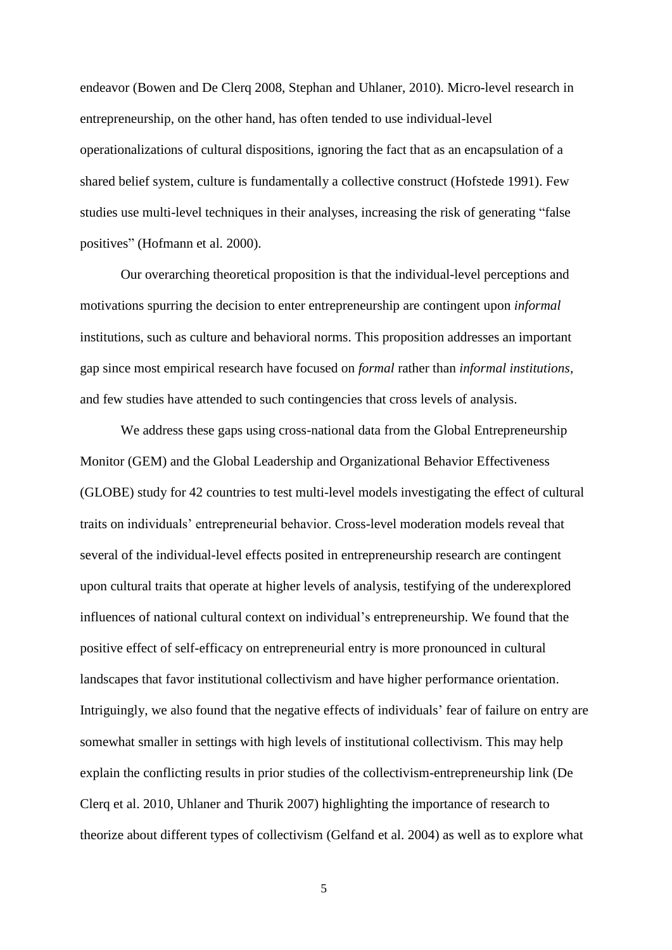endeavor (Bowen and De Clerq 2008, Stephan and Uhlaner, 2010). Micro-level research in entrepreneurship, on the other hand, has often tended to use individual-level operationalizations of cultural dispositions, ignoring the fact that as an encapsulation of a shared belief system, culture is fundamentally a collective construct (Hofstede 1991). Few studies use multi-level techniques in their analyses, increasing the risk of generating "false positives" (Hofmann et al. 2000).

Our overarching theoretical proposition is that the individual-level perceptions and motivations spurring the decision to enter entrepreneurship are contingent upon *informal* institutions, such as culture and behavioral norms. This proposition addresses an important gap since most empirical research have focused on *formal* rather than *informal institutions,* and few studies have attended to such contingencies that cross levels of analysis.

We address these gaps using cross-national data from the Global Entrepreneurship Monitor (GEM) and the Global Leadership and Organizational Behavior Effectiveness (GLOBE) study for 42 countries to test multi-level models investigating the effect of cultural traits on individuals' entrepreneurial behavior. Cross-level moderation models reveal that several of the individual-level effects posited in entrepreneurship research are contingent upon cultural traits that operate at higher levels of analysis, testifying of the underexplored influences of national cultural context on individual's entrepreneurship. We found that the positive effect of self-efficacy on entrepreneurial entry is more pronounced in cultural landscapes that favor institutional collectivism and have higher performance orientation. Intriguingly, we also found that the negative effects of individuals' fear of failure on entry are somewhat smaller in settings with high levels of institutional collectivism. This may help explain the conflicting results in prior studies of the collectivism-entrepreneurship link (De Clerq et al. 2010, Uhlaner and Thurik 2007) highlighting the importance of research to theorize about different types of collectivism (Gelfand et al. 2004) as well as to explore what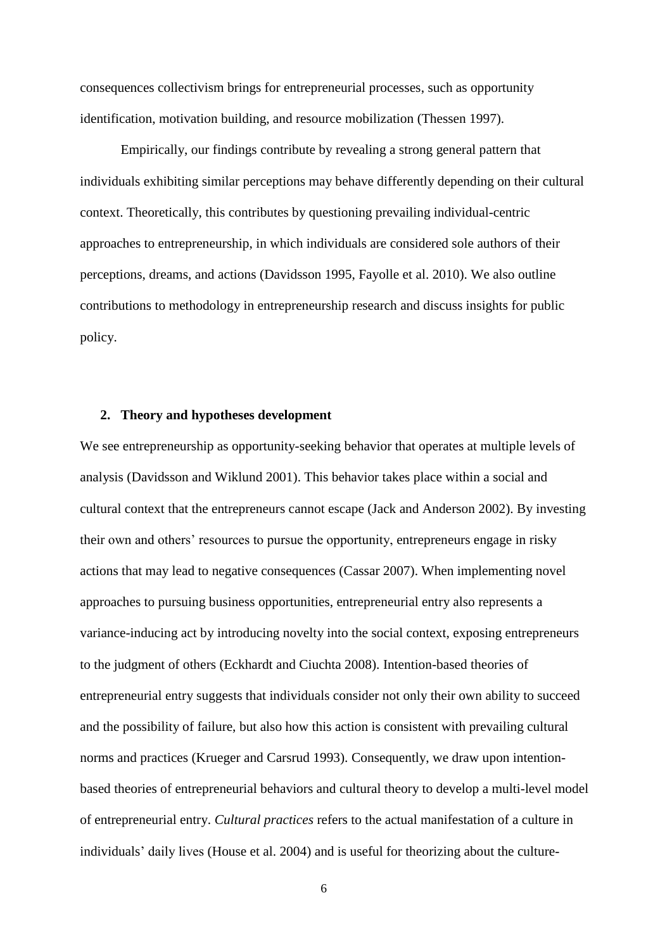consequences collectivism brings for entrepreneurial processes, such as opportunity identification, motivation building, and resource mobilization (Thessen 1997).

Empirically, our findings contribute by revealing a strong general pattern that individuals exhibiting similar perceptions may behave differently depending on their cultural context. Theoretically, this contributes by questioning prevailing individual-centric approaches to entrepreneurship, in which individuals are considered sole authors of their perceptions, dreams, and actions (Davidsson 1995, Fayolle et al. 2010). We also outline contributions to methodology in entrepreneurship research and discuss insights for public policy.

#### **2. Theory and hypotheses development**

We see entrepreneurship as opportunity-seeking behavior that operates at multiple levels of analysis (Davidsson and Wiklund 2001). This behavior takes place within a social and cultural context that the entrepreneurs cannot escape (Jack and Anderson 2002). By investing their own and others' resources to pursue the opportunity, entrepreneurs engage in risky actions that may lead to negative consequences (Cassar 2007). When implementing novel approaches to pursuing business opportunities, entrepreneurial entry also represents a variance-inducing act by introducing novelty into the social context, exposing entrepreneurs to the judgment of others (Eckhardt and Ciuchta 2008). Intention-based theories of entrepreneurial entry suggests that individuals consider not only their own ability to succeed and the possibility of failure, but also how this action is consistent with prevailing cultural norms and practices (Krueger and Carsrud 1993). Consequently, we draw upon intentionbased theories of entrepreneurial behaviors and cultural theory to develop a multi-level model of entrepreneurial entry. *Cultural practices* refers to the actual manifestation of a culture in individuals' daily lives (House et al. 2004) and is useful for theorizing about the culture-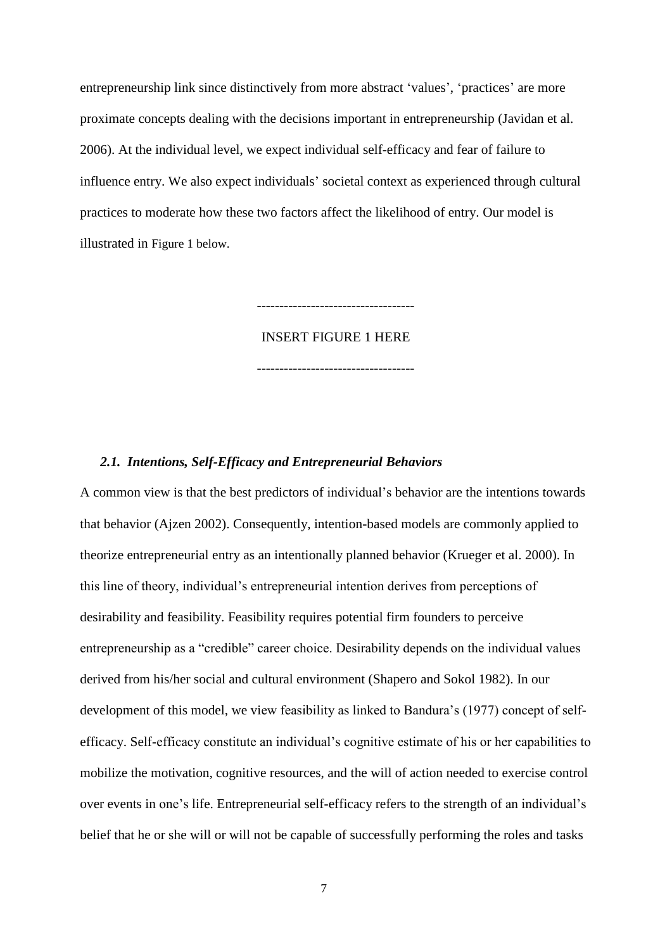entrepreneurship link since distinctively from more abstract 'values', 'practices' are more proximate concepts dealing with the decisions important in entrepreneurship (Javidan et al. 2006). At the individual level, we expect individual self-efficacy and fear of failure to influence entry. We also expect individuals' societal context as experienced through cultural practices to moderate how these two factors affect the likelihood of entry. Our model is illustrated in Figure 1 below.

INSERT FIGURE 1 HERE

-----------------------------------

-----------------------------------

# *2.1. Intentions, Self-Efficacy and Entrepreneurial Behaviors*

A common view is that the best predictors of individual's behavior are the intentions towards that behavior (Ajzen 2002). Consequently, intention-based models are commonly applied to theorize entrepreneurial entry as an intentionally planned behavior (Krueger et al. 2000). In this line of theory, individual's entrepreneurial intention derives from perceptions of desirability and feasibility. Feasibility requires potential firm founders to perceive entrepreneurship as a "credible" career choice. Desirability depends on the individual values derived from his/her social and cultural environment (Shapero and Sokol 1982). In our development of this model, we view feasibility as linked to Bandura's (1977) concept of selfefficacy. Self-efficacy constitute an individual's cognitive estimate of his or her capabilities to mobilize the motivation, cognitive resources, and the will of action needed to exercise control over events in one's life. Entrepreneurial self-efficacy refers to the strength of an individual's belief that he or she will or will not be capable of successfully performing the roles and tasks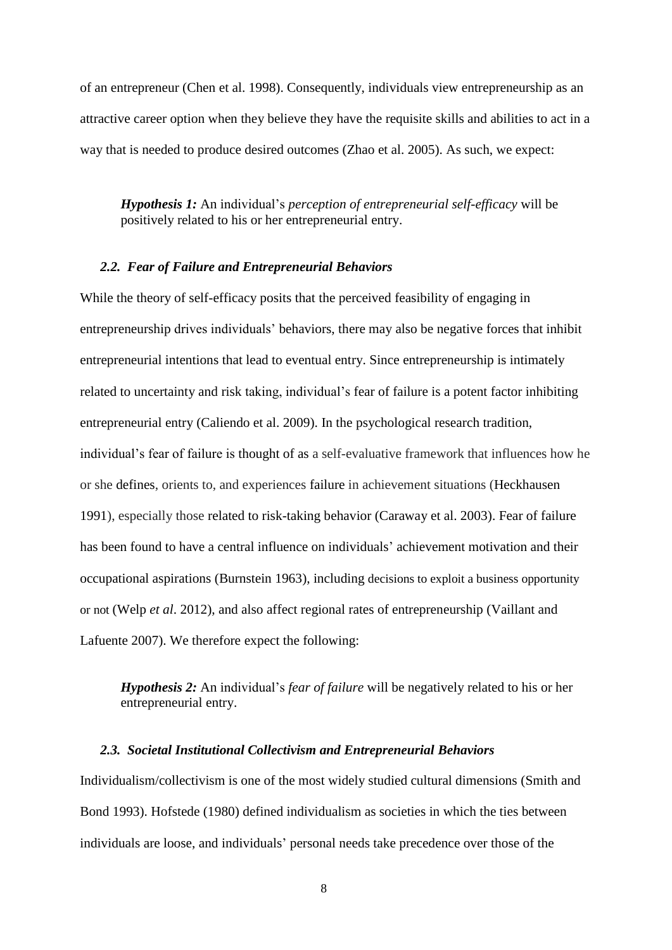of an entrepreneur (Chen et al. 1998). Consequently, individuals view entrepreneurship as an attractive career option when they believe they have the requisite skills and abilities to act in a way that is needed to produce desired outcomes (Zhao et al. 2005). As such, we expect:

*Hypothesis 1:* An individual's *perception of entrepreneurial self-efficacy* will be positively related to his or her entrepreneurial entry.

## *2.2. Fear of Failure and Entrepreneurial Behaviors*

While the theory of self-efficacy posits that the perceived feasibility of engaging in entrepreneurship drives individuals' behaviors, there may also be negative forces that inhibit entrepreneurial intentions that lead to eventual entry. Since entrepreneurship is intimately related to uncertainty and risk taking, individual's fear of failure is a potent factor inhibiting entrepreneurial entry (Caliendo et al. 2009). In the psychological research tradition, individual's fear of failure is thought of as a self-evaluative framework that influences how he or she defines, orients to, and experiences failure in achievement situations (Heckhausen 1991), especially those related to risk-taking behavior (Caraway et al. 2003). Fear of failure has been found to have a central influence on individuals' achievement motivation and their occupational aspirations (Burnstein 1963), including decisions to exploit a business opportunity or not (Welp *et al*. 2012), and also affect regional rates of entrepreneurship (Vaillant and Lafuente 2007). We therefore expect the following:

# *Hypothesis 2:* An individual's *fear of failure* will be negatively related to his or her entrepreneurial entry.

#### *2.3. Societal Institutional Collectivism and Entrepreneurial Behaviors*

Individualism/collectivism is one of the most widely studied cultural dimensions (Smith and Bond 1993). Hofstede (1980) defined individualism as societies in which the ties between individuals are loose, and individuals' personal needs take precedence over those of the

<sup>8</sup>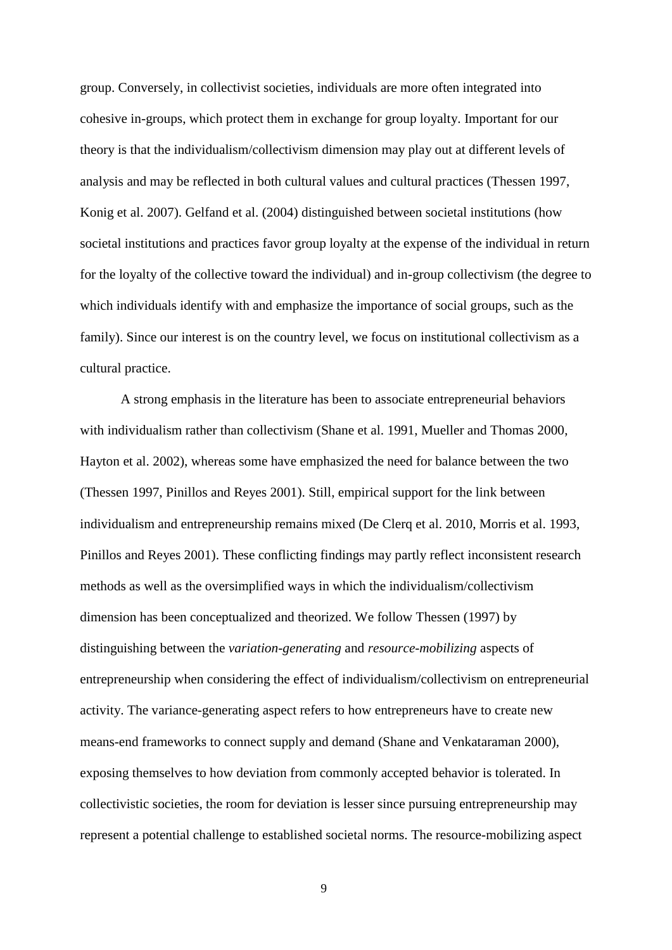group. Conversely, in collectivist societies, individuals are more often integrated into cohesive in-groups, which protect them in exchange for group loyalty. Important for our theory is that the individualism/collectivism dimension may play out at different levels of analysis and may be reflected in both cultural values and cultural practices (Thessen 1997, Konig et al. 2007). Gelfand et al. (2004) distinguished between societal institutions (how societal institutions and practices favor group loyalty at the expense of the individual in return for the loyalty of the collective toward the individual) and in-group collectivism (the degree to which individuals identify with and emphasize the importance of social groups, such as the family). Since our interest is on the country level, we focus on institutional collectivism as a cultural practice.

A strong emphasis in the literature has been to associate entrepreneurial behaviors with individualism rather than collectivism (Shane et al. 1991, Mueller and Thomas 2000, Hayton et al. 2002), whereas some have emphasized the need for balance between the two (Thessen 1997, Pinillos and Reyes 2001). Still, empirical support for the link between individualism and entrepreneurship remains mixed (De Clerq et al. 2010, Morris et al. 1993, Pinillos and Reyes 2001). These conflicting findings may partly reflect inconsistent research methods as well as the oversimplified ways in which the individualism/collectivism dimension has been conceptualized and theorized. We follow Thessen (1997) by distinguishing between the *variation-generating* and *resource-mobilizing* aspects of entrepreneurship when considering the effect of individualism/collectivism on entrepreneurial activity. The variance-generating aspect refers to how entrepreneurs have to create new means-end frameworks to connect supply and demand (Shane and Venkataraman 2000), exposing themselves to how deviation from commonly accepted behavior is tolerated. In collectivistic societies, the room for deviation is lesser since pursuing entrepreneurship may represent a potential challenge to established societal norms. The resource-mobilizing aspect

 $\overline{Q}$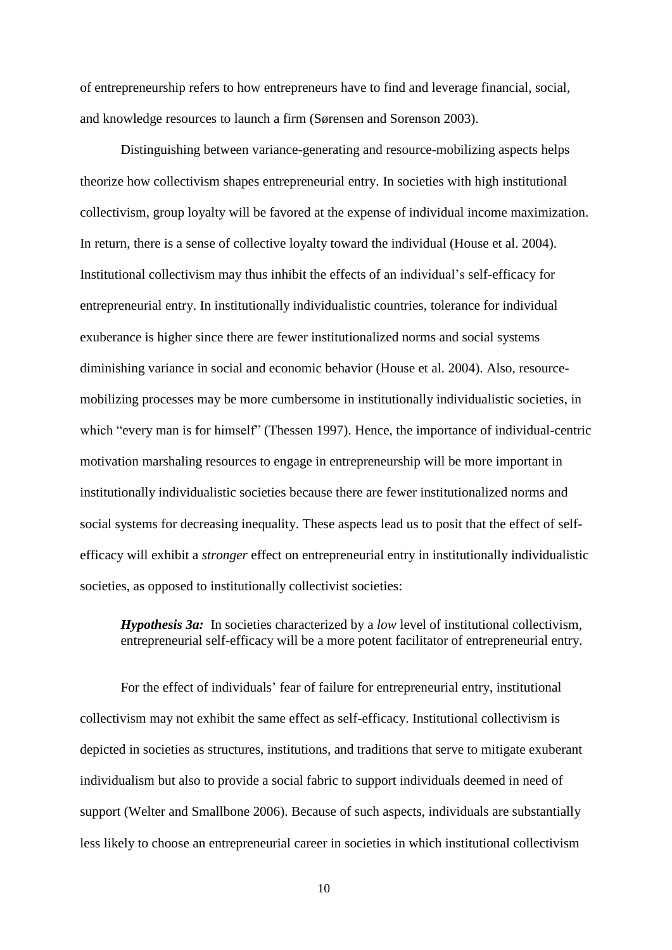of entrepreneurship refers to how entrepreneurs have to find and leverage financial, social, and knowledge resources to launch a firm (Sørensen and Sorenson 2003).

Distinguishing between variance-generating and resource-mobilizing aspects helps theorize how collectivism shapes entrepreneurial entry. In societies with high institutional collectivism, group loyalty will be favored at the expense of individual income maximization. In return, there is a sense of collective loyalty toward the individual (House et al. 2004). Institutional collectivism may thus inhibit the effects of an individual's self-efficacy for entrepreneurial entry. In institutionally individualistic countries, tolerance for individual exuberance is higher since there are fewer institutionalized norms and social systems diminishing variance in social and economic behavior (House et al. 2004). Also, resourcemobilizing processes may be more cumbersome in institutionally individualistic societies, in which "every man is for himself" (Thessen 1997). Hence, the importance of individual-centric motivation marshaling resources to engage in entrepreneurship will be more important in institutionally individualistic societies because there are fewer institutionalized norms and social systems for decreasing inequality. These aspects lead us to posit that the effect of selfefficacy will exhibit a *stronger* effect on entrepreneurial entry in institutionally individualistic societies, as opposed to institutionally collectivist societies:

*Hypothesis 3a:* In societies characterized by a *low* level of institutional collectivism, entrepreneurial self-efficacy will be a more potent facilitator of entrepreneurial entry.

For the effect of individuals' fear of failure for entrepreneurial entry, institutional collectivism may not exhibit the same effect as self-efficacy. Institutional collectivism is depicted in societies as structures, institutions, and traditions that serve to mitigate exuberant individualism but also to provide a social fabric to support individuals deemed in need of support (Welter and Smallbone 2006). Because of such aspects, individuals are substantially less likely to choose an entrepreneurial career in societies in which institutional collectivism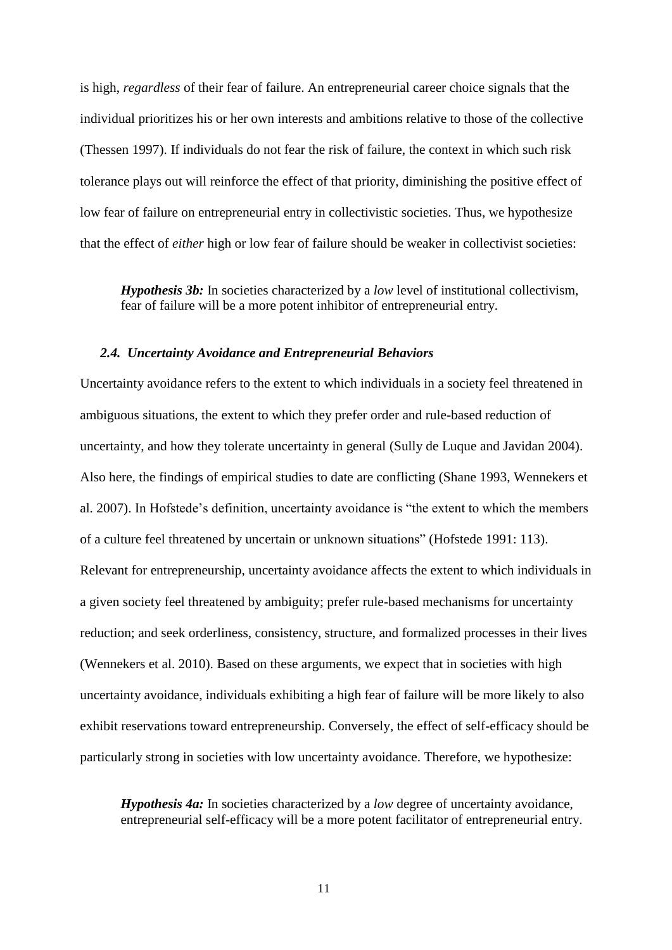is high, *regardless* of their fear of failure. An entrepreneurial career choice signals that the individual prioritizes his or her own interests and ambitions relative to those of the collective (Thessen 1997). If individuals do not fear the risk of failure, the context in which such risk tolerance plays out will reinforce the effect of that priority, diminishing the positive effect of low fear of failure on entrepreneurial entry in collectivistic societies. Thus, we hypothesize that the effect of *either* high or low fear of failure should be weaker in collectivist societies:

*Hypothesis 3b:* In societies characterized by a *low* level of institutional collectivism, fear of failure will be a more potent inhibitor of entrepreneurial entry.

# *2.4. Uncertainty Avoidance and Entrepreneurial Behaviors*

Uncertainty avoidance refers to the extent to which individuals in a society feel threatened in ambiguous situations, the extent to which they prefer order and rule-based reduction of uncertainty, and how they tolerate uncertainty in general (Sully de Luque and Javidan 2004). Also here, the findings of empirical studies to date are conflicting (Shane 1993, Wennekers et al. 2007). In Hofstede's definition, uncertainty avoidance is "the extent to which the members of a culture feel threatened by uncertain or unknown situations" (Hofstede 1991: 113). Relevant for entrepreneurship, uncertainty avoidance affects the extent to which individuals in a given society feel threatened by ambiguity; prefer rule-based mechanisms for uncertainty reduction; and seek orderliness, consistency, structure, and formalized processes in their lives (Wennekers et al. 2010). Based on these arguments, we expect that in societies with high uncertainty avoidance, individuals exhibiting a high fear of failure will be more likely to also exhibit reservations toward entrepreneurship. Conversely, the effect of self-efficacy should be particularly strong in societies with low uncertainty avoidance. Therefore, we hypothesize:

*Hypothesis 4a:* In societies characterized by a *low* degree of uncertainty avoidance, entrepreneurial self-efficacy will be a more potent facilitator of entrepreneurial entry.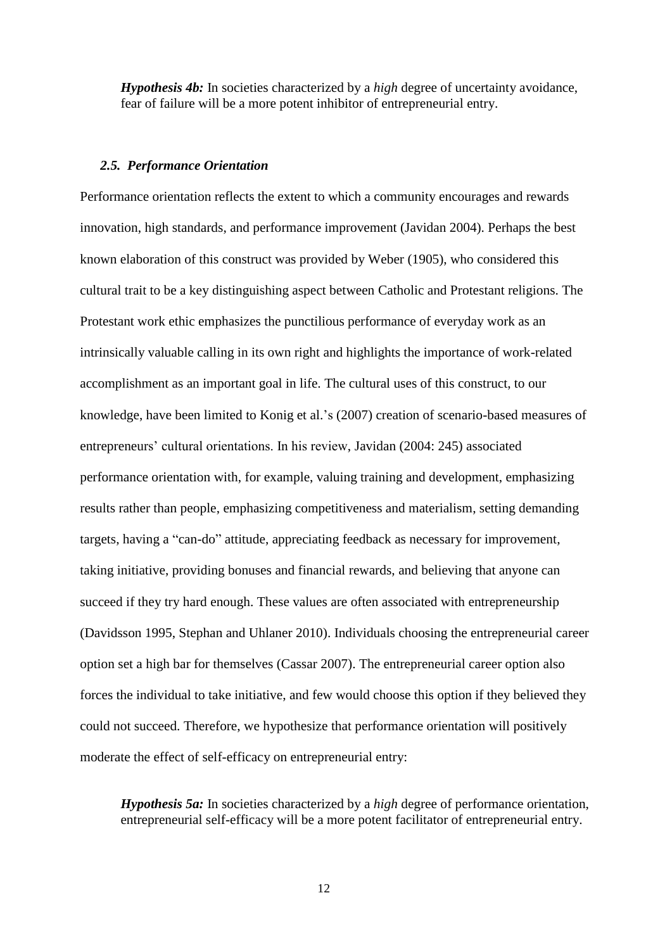*Hypothesis 4b:* In societies characterized by a *high* degree of uncertainty avoidance, fear of failure will be a more potent inhibitor of entrepreneurial entry.

#### *2.5. Performance Orientation*

Performance orientation reflects the extent to which a community encourages and rewards innovation, high standards, and performance improvement (Javidan 2004). Perhaps the best known elaboration of this construct was provided by Weber (1905), who considered this cultural trait to be a key distinguishing aspect between Catholic and Protestant religions. The Protestant work ethic emphasizes the punctilious performance of everyday work as an intrinsically valuable calling in its own right and highlights the importance of work-related accomplishment as an important goal in life. The cultural uses of this construct, to our knowledge, have been limited to Konig et al.'s (2007) creation of scenario-based measures of entrepreneurs' cultural orientations. In his review, Javidan (2004: 245) associated performance orientation with, for example, valuing training and development, emphasizing results rather than people, emphasizing competitiveness and materialism, setting demanding targets, having a "can-do" attitude, appreciating feedback as necessary for improvement, taking initiative, providing bonuses and financial rewards, and believing that anyone can succeed if they try hard enough. These values are often associated with entrepreneurship (Davidsson 1995, Stephan and Uhlaner 2010). Individuals choosing the entrepreneurial career option set a high bar for themselves (Cassar 2007). The entrepreneurial career option also forces the individual to take initiative, and few would choose this option if they believed they could not succeed. Therefore, we hypothesize that performance orientation will positively moderate the effect of self-efficacy on entrepreneurial entry:

*Hypothesis 5a:* In societies characterized by a *high* degree of performance orientation, entrepreneurial self-efficacy will be a more potent facilitator of entrepreneurial entry.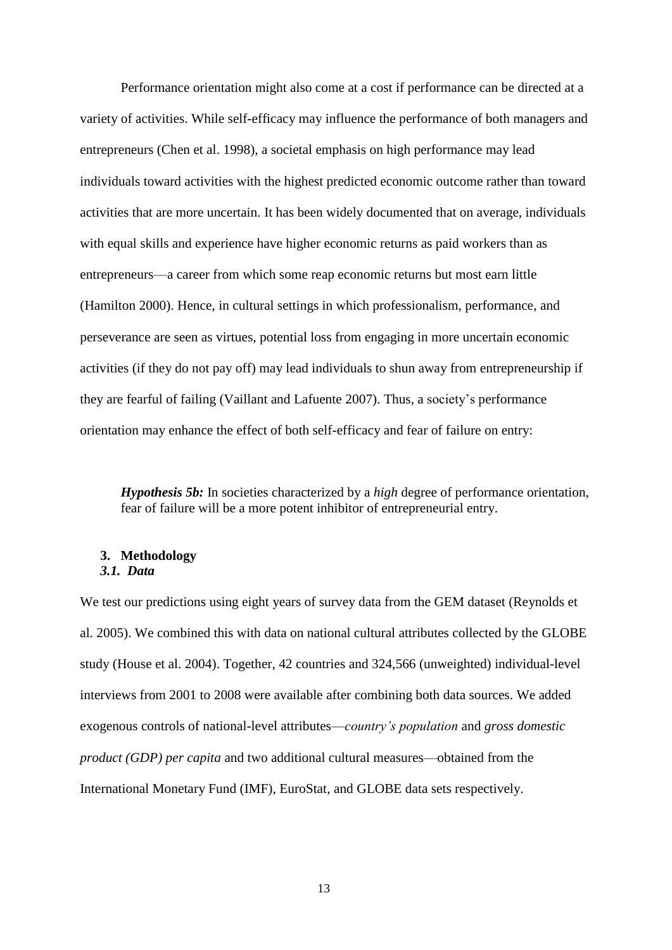Performance orientation might also come at a cost if performance can be directed at a variety of activities. While self-efficacy may influence the performance of both managers and entrepreneurs (Chen et al. 1998), a societal emphasis on high performance may lead individuals toward activities with the highest predicted economic outcome rather than toward activities that are more uncertain. It has been widely documented that on average, individuals with equal skills and experience have higher economic returns as paid workers than as entrepreneurs—a career from which some reap economic returns but most earn little (Hamilton 2000). Hence, in cultural settings in which professionalism, performance, and perseverance are seen as virtues, potential loss from engaging in more uncertain economic activities (if they do not pay off) may lead individuals to shun away from entrepreneurship if they are fearful of failing (Vaillant and Lafuente 2007). Thus, a society's performance orientation may enhance the effect of both self-efficacy and fear of failure on entry:

*Hypothesis 5b:* In societies characterized by a *high* degree of performance orientation, fear of failure will be a more potent inhibitor of entrepreneurial entry.

#### **3. Methodology** *3.1. Data*

We test our predictions using eight years of survey data from the GEM dataset (Reynolds et al. 2005). We combined this with data on national cultural attributes collected by the GLOBE study (House et al. 2004). Together, 42 countries and 324,566 (unweighted) individual-level interviews from 2001 to 2008 were available after combining both data sources. We added exogenous controls of national-level attributes—*country's population* and *gross domestic product (GDP) per capita* and two additional cultural measures—obtained from the International Monetary Fund (IMF), EuroStat, and GLOBE data sets respectively.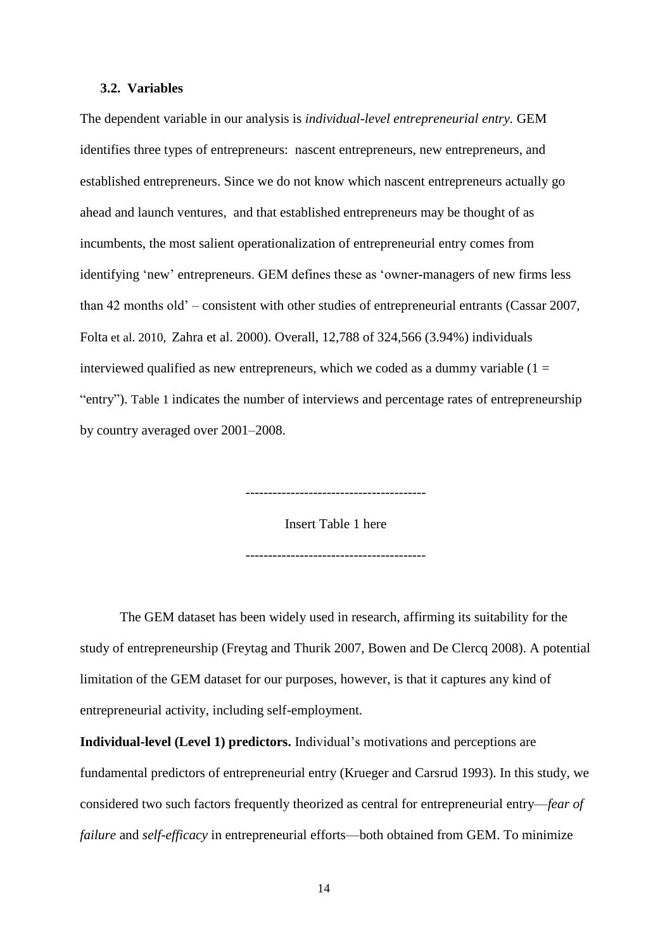#### **3.2. Variables**

The dependent variable in our analysis is *individual-level entrepreneurial entry.* GEM identifies three types of entrepreneurs: nascent entrepreneurs, new entrepreneurs, and established entrepreneurs. Since we do not know which nascent entrepreneurs actually go ahead and launch ventures, and that established entrepreneurs may be thought of as incumbents, the most salient operationalization of entrepreneurial entry comes from identifying 'new' entrepreneurs. GEM defines these as 'owner-managers of new firms less than 42 months old' – consistent with other studies of entrepreneurial entrants (Cassar 2007, Folta et al. 2010, Zahra et al. 2000). Overall, 12,788 of 324,566 (3.94%) individuals interviewed qualified as new entrepreneurs, which we coded as a dummy variable  $(1 =$ "entry"). Table 1 indicates the number of interviews and percentage rates of entrepreneurship by country averaged over 2001–2008.

Insert Table 1 here

----------------------------------------

----------------------------------------

The GEM dataset has been widely used in research, affirming its suitability for the study of entrepreneurship (Freytag and Thurik 2007, Bowen and De Clercq 2008). A potential limitation of the GEM dataset for our purposes, however, is that it captures any kind of entrepreneurial activity, including self-employment.

**Individual-level (Level 1) predictors.** Individual's motivations and perceptions are fundamental predictors of entrepreneurial entry (Krueger and Carsrud 1993). In this study, we considered two such factors frequently theorized as central for entrepreneurial entry—*fear of failure* and *self-efficacy* in entrepreneurial efforts—both obtained from GEM. To minimize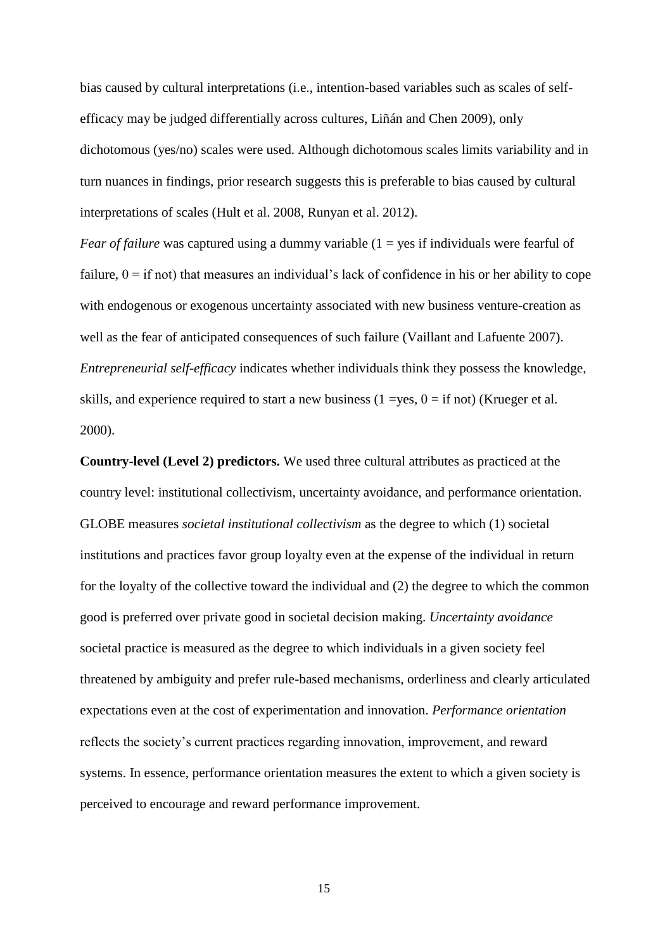bias caused by cultural interpretations (i.e., intention-based variables such as scales of selfefficacy may be judged differentially across cultures, Liñán and Chen 2009), only dichotomous (yes/no) scales were used. Although dichotomous scales limits variability and in turn nuances in findings, prior research suggests this is preferable to bias caused by cultural interpretations of scales (Hult et al. 2008, Runyan et al. 2012).

*Fear of failure* was captured using a dummy variable (1 = yes if individuals were fearful of failure,  $0 =$  if not) that measures an individual's lack of confidence in his or her ability to cope with endogenous or exogenous uncertainty associated with new business venture-creation as well as the fear of anticipated consequences of such failure (Vaillant and Lafuente 2007). *Entrepreneurial self-efficacy* indicates whether individuals think they possess the knowledge, skills, and experience required to start a new business  $(1 = yes, 0 = if not)$  (Krueger et al. 2000).

**Country-level (Level 2) predictors.** We used three cultural attributes as practiced at the country level: institutional collectivism, uncertainty avoidance, and performance orientation. GLOBE measures *societal institutional collectivism* as the degree to which (1) societal institutions and practices favor group loyalty even at the expense of the individual in return for the loyalty of the collective toward the individual and (2) the degree to which the common good is preferred over private good in societal decision making. *Uncertainty avoidance*  societal practice is measured as the degree to which individuals in a given society feel threatened by ambiguity and prefer rule-based mechanisms, orderliness and clearly articulated expectations even at the cost of experimentation and innovation. *Performance orientation* reflects the society's current practices regarding innovation, improvement, and reward systems. In essence, performance orientation measures the extent to which a given society is perceived to encourage and reward performance improvement.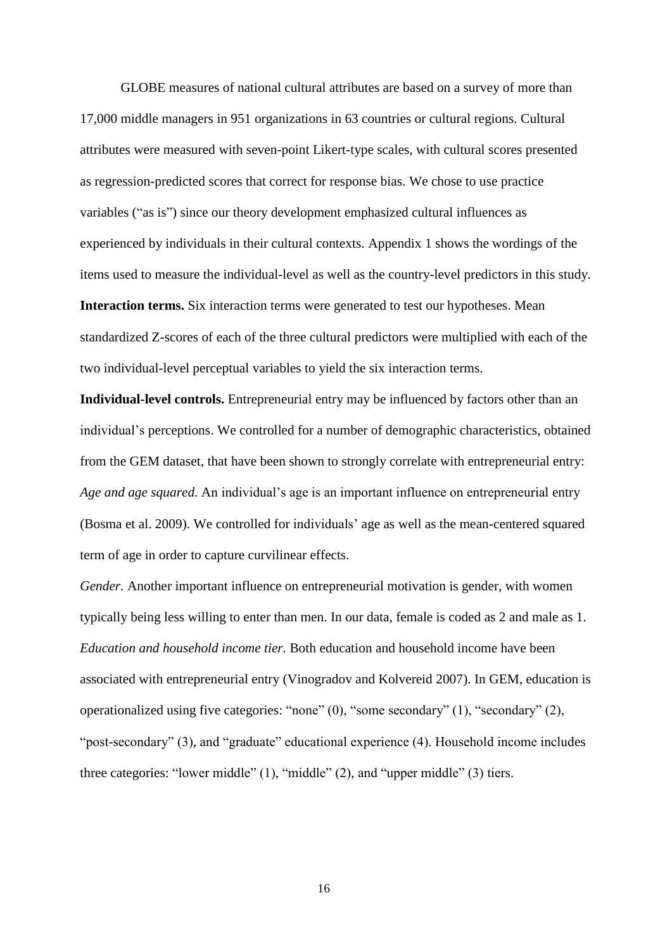GLOBE measures of national cultural attributes are based on a survey of more than 17,000 middle managers in 951 organizations in 63 countries or cultural regions. Cultural attributes were measured with seven-point Likert-type scales, with cultural scores presented as regression-predicted scores that correct for response bias. We chose to use practice variables ("as is") since our theory development emphasized cultural influences as experienced by individuals in their cultural contexts. Appendix 1 shows the wordings of the items used to measure the individual-level as well as the country-level predictors in this study. **Interaction terms.** Six interaction terms were generated to test our hypotheses. Mean standardized Z-scores of each of the three cultural predictors were multiplied with each of the two individual-level perceptual variables to yield the six interaction terms.

**Individual-level controls.** Entrepreneurial entry may be influenced by factors other than an individual's perceptions. We controlled for a number of demographic characteristics, obtained from the GEM dataset, that have been shown to strongly correlate with entrepreneurial entry: *Age and age squared.* An individual's age is an important influence on entrepreneurial entry (Bosma et al. 2009). We controlled for individuals' age as well as the mean-centered squared term of age in order to capture curvilinear effects.

*Gender.* Another important influence on entrepreneurial motivation is gender, with women typically being less willing to enter than men. In our data, female is coded as 2 and male as 1. *Education and household income tier.* Both education and household income have been associated with entrepreneurial entry (Vinogradov and Kolvereid 2007). In GEM, education is operationalized using five categories: "none" (0), "some secondary" (1), "secondary" (2), "post-secondary" (3), and "graduate" educational experience (4). Household income includes three categories: "lower middle" (1), "middle" (2), and "upper middle" (3) tiers.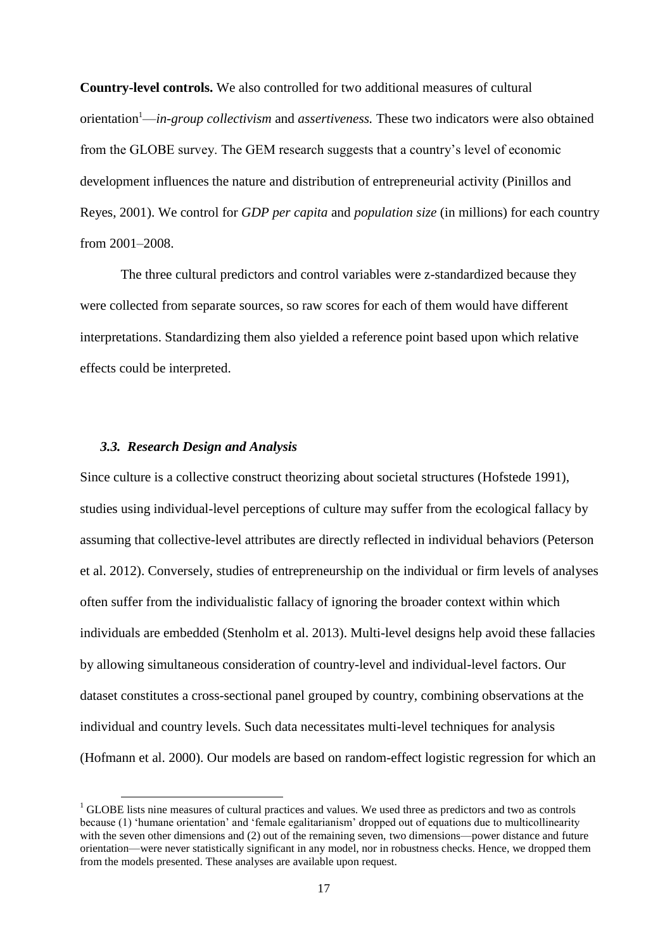**Country-level controls.** We also controlled for two additional measures of cultural orientation<sup>1</sup>—*in-group collectivism* and *assertiveness.* These two indicators were also obtained from the GLOBE survey. The GEM research suggests that a country's level of economic development influences the nature and distribution of entrepreneurial activity (Pinillos and Reyes, 2001). We control for *GDP per capita* and *population size* (in millions) for each country from 2001–2008.

The three cultural predictors and control variables were z-standardized because they were collected from separate sources, so raw scores for each of them would have different interpretations. Standardizing them also yielded a reference point based upon which relative effects could be interpreted.

# *3.3. Research Design and Analysis*

-

Since culture is a collective construct theorizing about societal structures (Hofstede 1991), studies using individual-level perceptions of culture may suffer from the ecological fallacy by assuming that collective-level attributes are directly reflected in individual behaviors (Peterson et al. 2012). Conversely, studies of entrepreneurship on the individual or firm levels of analyses often suffer from the individualistic fallacy of ignoring the broader context within which individuals are embedded (Stenholm et al. 2013). Multi-level designs help avoid these fallacies by allowing simultaneous consideration of country-level and individual-level factors. Our dataset constitutes a cross-sectional panel grouped by country, combining observations at the individual and country levels. Such data necessitates multi-level techniques for analysis (Hofmann et al. 2000). Our models are based on random-effect logistic regression for which an

 $<sup>1</sup>$  GLOBE lists nine measures of cultural practices and values. We used three as predictors and two as controls</sup> because (1) 'humane orientation' and 'female egalitarianism' dropped out of equations due to multicollinearity with the seven other dimensions and (2) out of the remaining seven, two dimensions—power distance and future orientation—were never statistically significant in any model, nor in robustness checks. Hence, we dropped them from the models presented. These analyses are available upon request.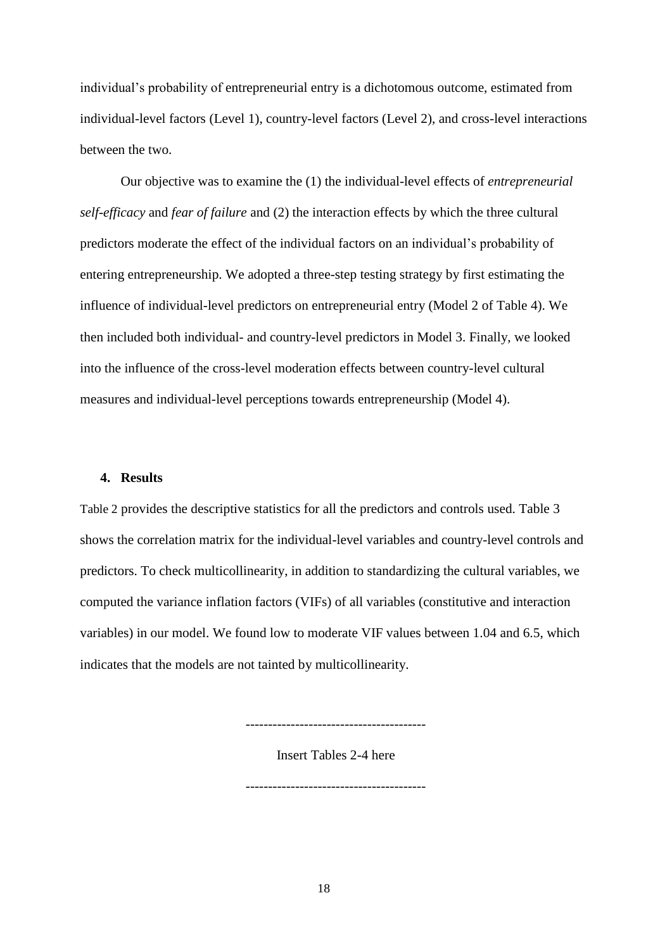individual's probability of entrepreneurial entry is a dichotomous outcome, estimated from individual-level factors (Level 1), country-level factors (Level 2), and cross-level interactions between the two.

Our objective was to examine the (1) the individual-level effects of *entrepreneurial self-efficacy* and *fear of failure* and (2) the interaction effects by which the three cultural predictors moderate the effect of the individual factors on an individual's probability of entering entrepreneurship. We adopted a three-step testing strategy by first estimating the influence of individual-level predictors on entrepreneurial entry (Model 2 of Table 4). We then included both individual- and country-level predictors in Model 3. Finally, we looked into the influence of the cross-level moderation effects between country-level cultural measures and individual-level perceptions towards entrepreneurship (Model 4).

#### **4. Results**

Table 2 provides the descriptive statistics for all the predictors and controls used. Table 3 shows the correlation matrix for the individual-level variables and country-level controls and predictors. To check multicollinearity, in addition to standardizing the cultural variables, we computed the variance inflation factors (VIFs) of all variables (constitutive and interaction variables) in our model. We found low to moderate VIF values between 1.04 and 6.5, which indicates that the models are not tainted by multicollinearity.

----------------------------------------

Insert Tables 2-4 here

----------------------------------------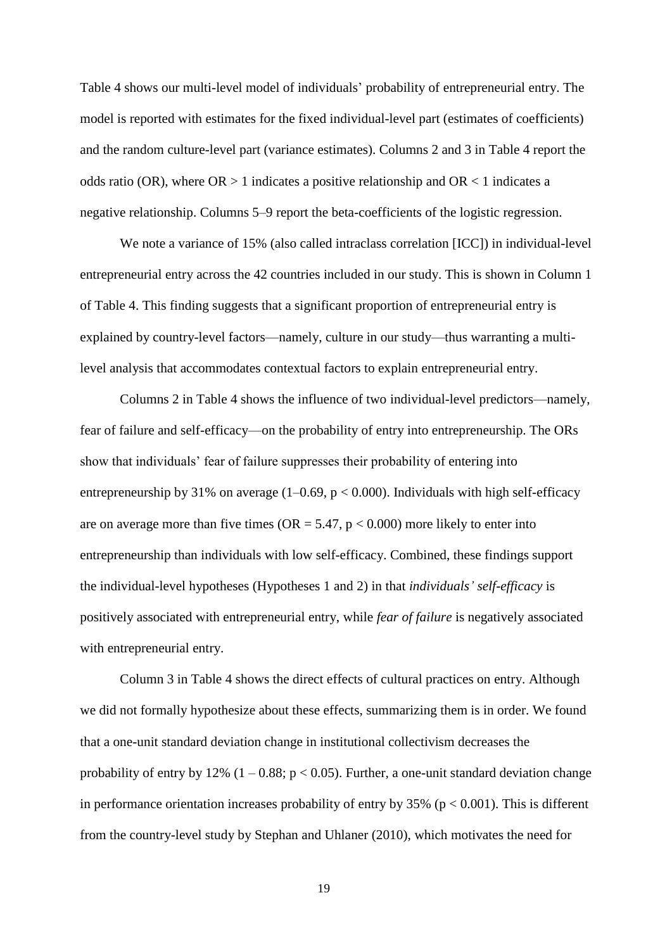Table 4 shows our multi-level model of individuals' probability of entrepreneurial entry. The model is reported with estimates for the fixed individual-level part (estimates of coefficients) and the random culture-level part (variance estimates). Columns 2 and 3 in Table 4 report the odds ratio (OR), where  $OR > 1$  indicates a positive relationship and  $OR < 1$  indicates a negative relationship. Columns 5–9 report the beta-coefficients of the logistic regression.

We note a variance of 15% (also called intraclass correlation [ICC]) in individual-level entrepreneurial entry across the 42 countries included in our study. This is shown in Column 1 of Table 4. This finding suggests that a significant proportion of entrepreneurial entry is explained by country-level factors—namely, culture in our study—thus warranting a multilevel analysis that accommodates contextual factors to explain entrepreneurial entry.

Columns 2 in Table 4 shows the influence of two individual-level predictors—namely, fear of failure and self-efficacy—on the probability of entry into entrepreneurship. The ORs show that individuals' fear of failure suppresses their probability of entering into entrepreneurship by 31% on average  $(1-0.69, p < 0.000)$ . Individuals with high self-efficacy are on average more than five times ( $OR = 5.47$ ,  $p < 0.000$ ) more likely to enter into entrepreneurship than individuals with low self-efficacy. Combined, these findings support the individual-level hypotheses (Hypotheses 1 and 2) in that *individuals' self-efficacy* is positively associated with entrepreneurial entry, while *fear of failure* is negatively associated with entrepreneurial entry.

Column 3 in Table 4 shows the direct effects of cultural practices on entry. Although we did not formally hypothesize about these effects, summarizing them is in order. We found that a one-unit standard deviation change in institutional collectivism decreases the probability of entry by 12%  $(1 - 0.88; p < 0.05)$ . Further, a one-unit standard deviation change in performance orientation increases probability of entry by  $35\%$  ( $p < 0.001$ ). This is different from the country-level study by Stephan and Uhlaner (2010), which motivates the need for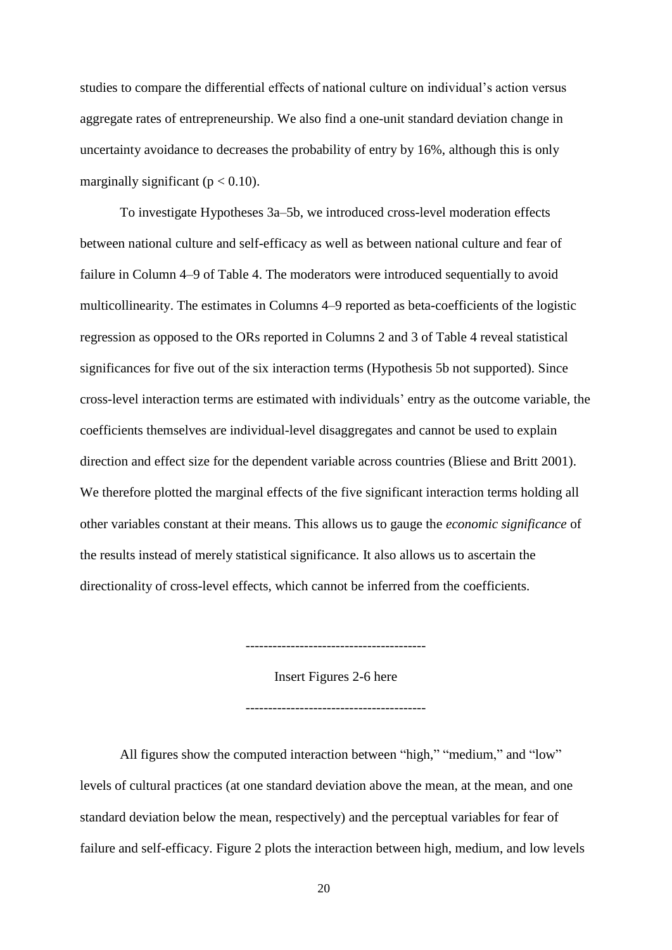studies to compare the differential effects of national culture on individual's action versus aggregate rates of entrepreneurship. We also find a one-unit standard deviation change in uncertainty avoidance to decreases the probability of entry by 16%, although this is only marginally significant ( $p < 0.10$ ).

To investigate Hypotheses 3a–5b, we introduced cross-level moderation effects between national culture and self-efficacy as well as between national culture and fear of failure in Column 4–9 of Table 4. The moderators were introduced sequentially to avoid multicollinearity. The estimates in Columns 4–9 reported as beta-coefficients of the logistic regression as opposed to the ORs reported in Columns 2 and 3 of Table 4 reveal statistical significances for five out of the six interaction terms (Hypothesis 5b not supported). Since cross-level interaction terms are estimated with individuals' entry as the outcome variable, the coefficients themselves are individual-level disaggregates and cannot be used to explain direction and effect size for the dependent variable across countries (Bliese and Britt 2001). We therefore plotted the marginal effects of the five significant interaction terms holding all other variables constant at their means. This allows us to gauge the *economic significance* of the results instead of merely statistical significance. It also allows us to ascertain the directionality of cross-level effects, which cannot be inferred from the coefficients.

----------------------------------------

Insert Figures 2-6 here

----------------------------------------

All figures show the computed interaction between "high," "medium," and "low" levels of cultural practices (at one standard deviation above the mean, at the mean, and one standard deviation below the mean, respectively) and the perceptual variables for fear of failure and self-efficacy. Figure 2 plots the interaction between high, medium, and low levels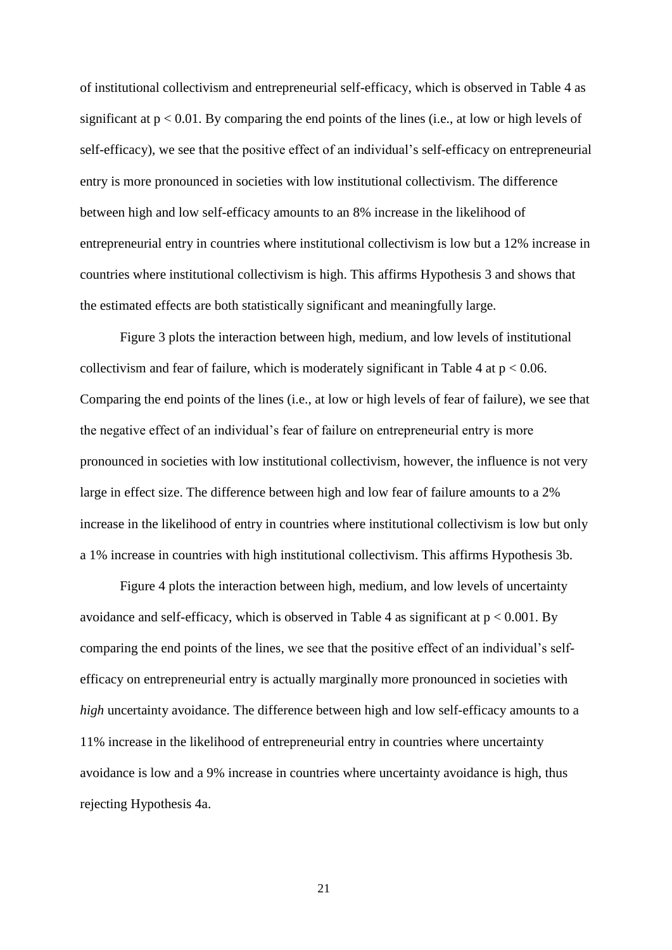of institutional collectivism and entrepreneurial self-efficacy, which is observed in Table 4 as significant at  $p < 0.01$ . By comparing the end points of the lines (i.e., at low or high levels of self-efficacy), we see that the positive effect of an individual's self-efficacy on entrepreneurial entry is more pronounced in societies with low institutional collectivism. The difference between high and low self-efficacy amounts to an 8% increase in the likelihood of entrepreneurial entry in countries where institutional collectivism is low but a 12% increase in countries where institutional collectivism is high. This affirms Hypothesis 3 and shows that the estimated effects are both statistically significant and meaningfully large.

Figure 3 plots the interaction between high, medium, and low levels of institutional collectivism and fear of failure, which is moderately significant in Table 4 at  $p < 0.06$ . Comparing the end points of the lines (i.e., at low or high levels of fear of failure), we see that the negative effect of an individual's fear of failure on entrepreneurial entry is more pronounced in societies with low institutional collectivism, however, the influence is not very large in effect size. The difference between high and low fear of failure amounts to a 2% increase in the likelihood of entry in countries where institutional collectivism is low but only a 1% increase in countries with high institutional collectivism. This affirms Hypothesis 3b.

Figure 4 plots the interaction between high, medium, and low levels of uncertainty avoidance and self-efficacy, which is observed in Table 4 as significant at  $p < 0.001$ . By comparing the end points of the lines, we see that the positive effect of an individual's selfefficacy on entrepreneurial entry is actually marginally more pronounced in societies with *high* uncertainty avoidance. The difference between high and low self-efficacy amounts to a 11% increase in the likelihood of entrepreneurial entry in countries where uncertainty avoidance is low and a 9% increase in countries where uncertainty avoidance is high, thus rejecting Hypothesis 4a.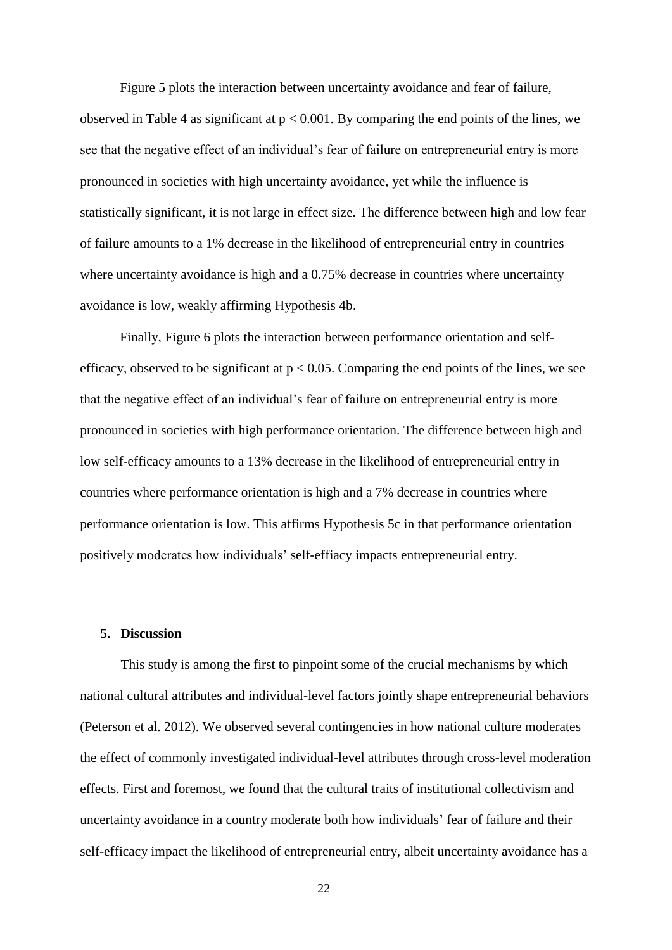Figure 5 plots the interaction between uncertainty avoidance and fear of failure, observed in Table 4 as significant at  $p < 0.001$ . By comparing the end points of the lines, we see that the negative effect of an individual's fear of failure on entrepreneurial entry is more pronounced in societies with high uncertainty avoidance, yet while the influence is statistically significant, it is not large in effect size. The difference between high and low fear of failure amounts to a 1% decrease in the likelihood of entrepreneurial entry in countries where uncertainty avoidance is high and a 0.75% decrease in countries where uncertainty avoidance is low, weakly affirming Hypothesis 4b.

Finally, Figure 6 plots the interaction between performance orientation and selfefficacy, observed to be significant at  $p < 0.05$ . Comparing the end points of the lines, we see that the negative effect of an individual's fear of failure on entrepreneurial entry is more pronounced in societies with high performance orientation. The difference between high and low self-efficacy amounts to a 13% decrease in the likelihood of entrepreneurial entry in countries where performance orientation is high and a 7% decrease in countries where performance orientation is low. This affirms Hypothesis 5c in that performance orientation positively moderates how individuals' self-effiacy impacts entrepreneurial entry.

## **5. Discussion**

This study is among the first to pinpoint some of the crucial mechanisms by which national cultural attributes and individual-level factors jointly shape entrepreneurial behaviors (Peterson et al. 2012). We observed several contingencies in how national culture moderates the effect of commonly investigated individual-level attributes through cross-level moderation effects. First and foremost, we found that the cultural traits of institutional collectivism and uncertainty avoidance in a country moderate both how individuals' fear of failure and their self-efficacy impact the likelihood of entrepreneurial entry, albeit uncertainty avoidance has a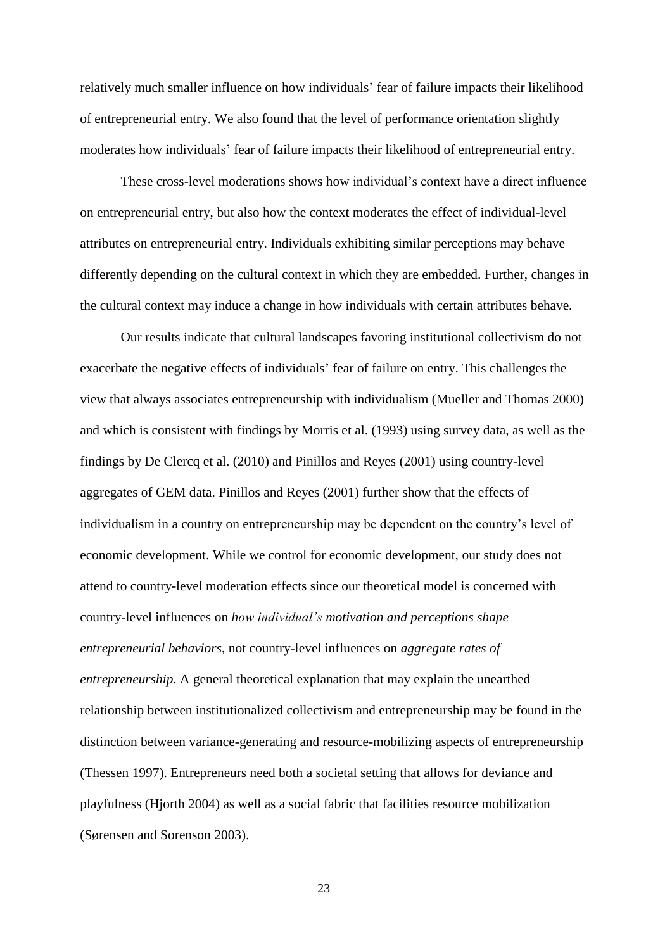relatively much smaller influence on how individuals' fear of failure impacts their likelihood of entrepreneurial entry. We also found that the level of performance orientation slightly moderates how individuals' fear of failure impacts their likelihood of entrepreneurial entry.

These cross-level moderations shows how individual's context have a direct influence on entrepreneurial entry, but also how the context moderates the effect of individual-level attributes on entrepreneurial entry. Individuals exhibiting similar perceptions may behave differently depending on the cultural context in which they are embedded. Further, changes in the cultural context may induce a change in how individuals with certain attributes behave.

Our results indicate that cultural landscapes favoring institutional collectivism do not exacerbate the negative effects of individuals' fear of failure on entry. This challenges the view that always associates entrepreneurship with individualism (Mueller and Thomas 2000) and which is consistent with findings by Morris et al. (1993) using survey data, as well as the findings by De Clercq et al. (2010) and Pinillos and Reyes (2001) using country-level aggregates of GEM data. Pinillos and Reyes (2001) further show that the effects of individualism in a country on entrepreneurship may be dependent on the country's level of economic development. While we control for economic development, our study does not attend to country-level moderation effects since our theoretical model is concerned with country-level influences on *how individual's motivation and perceptions shape entrepreneurial behaviors*, not country-level influences on *aggregate rates of entrepreneurship*. A general theoretical explanation that may explain the unearthed relationship between institutionalized collectivism and entrepreneurship may be found in the distinction between variance-generating and resource-mobilizing aspects of entrepreneurship (Thessen 1997). Entrepreneurs need both a societal setting that allows for deviance and playfulness (Hjorth 2004) as well as a social fabric that facilities resource mobilization (Sørensen and Sorenson 2003).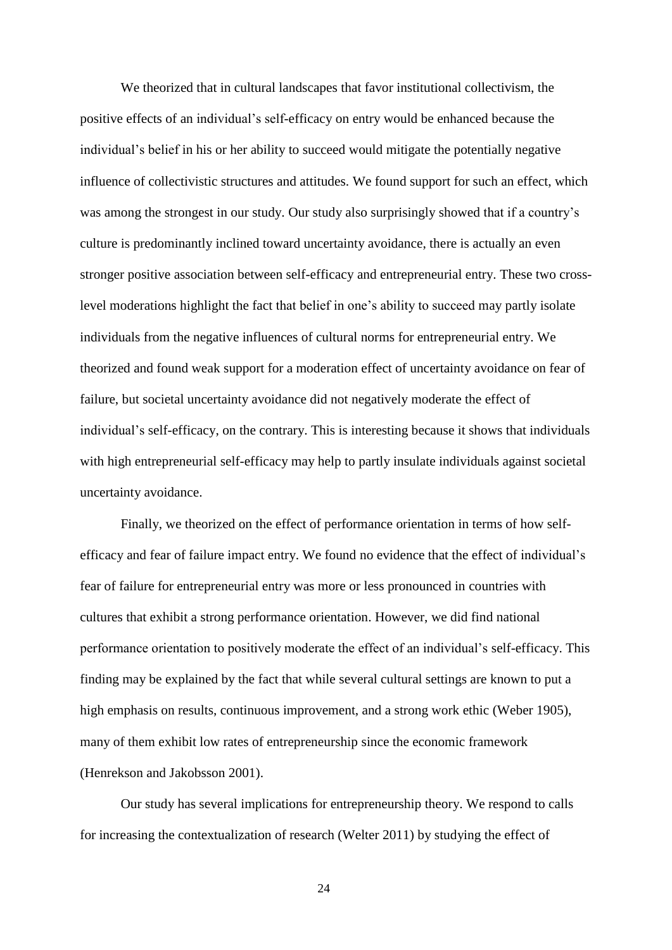We theorized that in cultural landscapes that favor institutional collectivism, the positive effects of an individual's self-efficacy on entry would be enhanced because the individual's belief in his or her ability to succeed would mitigate the potentially negative influence of collectivistic structures and attitudes. We found support for such an effect, which was among the strongest in our study. Our study also surprisingly showed that if a country's culture is predominantly inclined toward uncertainty avoidance, there is actually an even stronger positive association between self-efficacy and entrepreneurial entry. These two crosslevel moderations highlight the fact that belief in one's ability to succeed may partly isolate individuals from the negative influences of cultural norms for entrepreneurial entry. We theorized and found weak support for a moderation effect of uncertainty avoidance on fear of failure, but societal uncertainty avoidance did not negatively moderate the effect of individual's self-efficacy, on the contrary. This is interesting because it shows that individuals with high entrepreneurial self-efficacy may help to partly insulate individuals against societal uncertainty avoidance.

Finally, we theorized on the effect of performance orientation in terms of how selfefficacy and fear of failure impact entry. We found no evidence that the effect of individual's fear of failure for entrepreneurial entry was more or less pronounced in countries with cultures that exhibit a strong performance orientation. However, we did find national performance orientation to positively moderate the effect of an individual's self-efficacy. This finding may be explained by the fact that while several cultural settings are known to put a high emphasis on results, continuous improvement, and a strong work ethic (Weber 1905), many of them exhibit low rates of entrepreneurship since the economic framework (Henrekson and Jakobsson 2001).

Our study has several implications for entrepreneurship theory. We respond to calls for increasing the contextualization of research (Welter 2011) by studying the effect of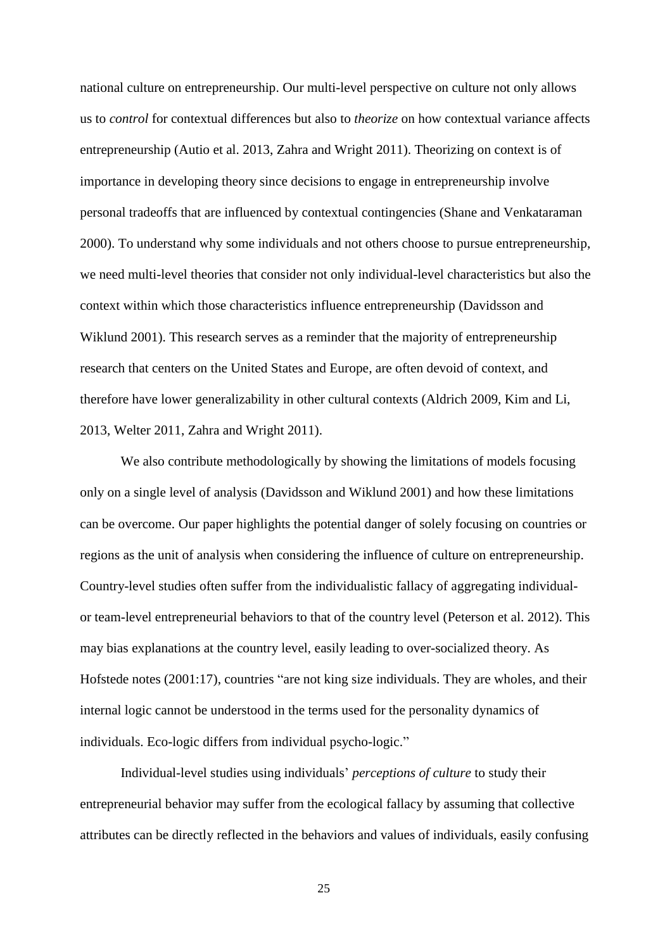national culture on entrepreneurship. Our multi-level perspective on culture not only allows us to *control* for contextual differences but also to *theorize* on how contextual variance affects entrepreneurship (Autio et al. 2013, Zahra and Wright 2011). Theorizing on context is of importance in developing theory since decisions to engage in entrepreneurship involve personal tradeoffs that are influenced by contextual contingencies (Shane and Venkataraman 2000). To understand why some individuals and not others choose to pursue entrepreneurship, we need multi-level theories that consider not only individual-level characteristics but also the context within which those characteristics influence entrepreneurship (Davidsson and Wiklund 2001). This research serves as a reminder that the majority of entrepreneurship research that centers on the United States and Europe, are often devoid of context, and therefore have lower generalizability in other cultural contexts (Aldrich 2009, Kim and Li, 2013, Welter 2011, Zahra and Wright 2011).

We also contribute methodologically by showing the limitations of models focusing only on a single level of analysis (Davidsson and Wiklund 2001) and how these limitations can be overcome. Our paper highlights the potential danger of solely focusing on countries or regions as the unit of analysis when considering the influence of culture on entrepreneurship. Country-level studies often suffer from the individualistic fallacy of aggregating individualor team-level entrepreneurial behaviors to that of the country level (Peterson et al. 2012). This may bias explanations at the country level, easily leading to over-socialized theory. As Hofstede notes (2001:17), countries "are not king size individuals. They are wholes, and their internal logic cannot be understood in the terms used for the personality dynamics of individuals. Eco-logic differs from individual psycho-logic."

Individual-level studies using individuals' *perceptions of culture* to study their entrepreneurial behavior may suffer from the ecological fallacy by assuming that collective attributes can be directly reflected in the behaviors and values of individuals, easily confusing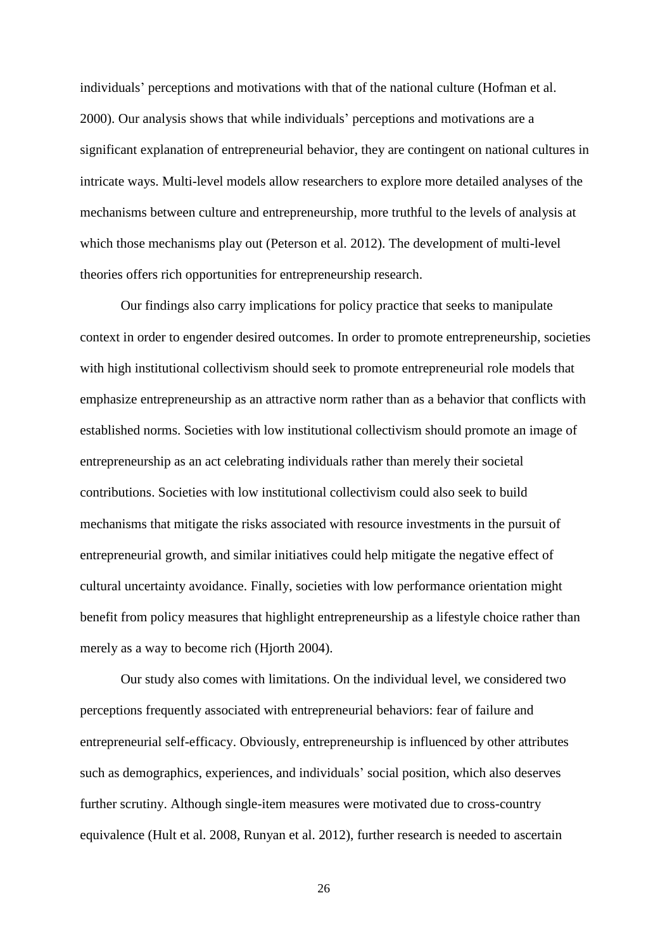individuals' perceptions and motivations with that of the national culture (Hofman et al. 2000). Our analysis shows that while individuals' perceptions and motivations are a significant explanation of entrepreneurial behavior, they are contingent on national cultures in intricate ways. Multi-level models allow researchers to explore more detailed analyses of the mechanisms between culture and entrepreneurship, more truthful to the levels of analysis at which those mechanisms play out (Peterson et al. 2012). The development of multi-level theories offers rich opportunities for entrepreneurship research.

Our findings also carry implications for policy practice that seeks to manipulate context in order to engender desired outcomes. In order to promote entrepreneurship, societies with high institutional collectivism should seek to promote entrepreneurial role models that emphasize entrepreneurship as an attractive norm rather than as a behavior that conflicts with established norms. Societies with low institutional collectivism should promote an image of entrepreneurship as an act celebrating individuals rather than merely their societal contributions. Societies with low institutional collectivism could also seek to build mechanisms that mitigate the risks associated with resource investments in the pursuit of entrepreneurial growth, and similar initiatives could help mitigate the negative effect of cultural uncertainty avoidance. Finally, societies with low performance orientation might benefit from policy measures that highlight entrepreneurship as a lifestyle choice rather than merely as a way to become rich (Hjorth 2004).

Our study also comes with limitations. On the individual level, we considered two perceptions frequently associated with entrepreneurial behaviors: fear of failure and entrepreneurial self-efficacy. Obviously, entrepreneurship is influenced by other attributes such as demographics, experiences, and individuals' social position, which also deserves further scrutiny. Although single-item measures were motivated due to cross-country equivalence (Hult et al. 2008, Runyan et al. 2012), further research is needed to ascertain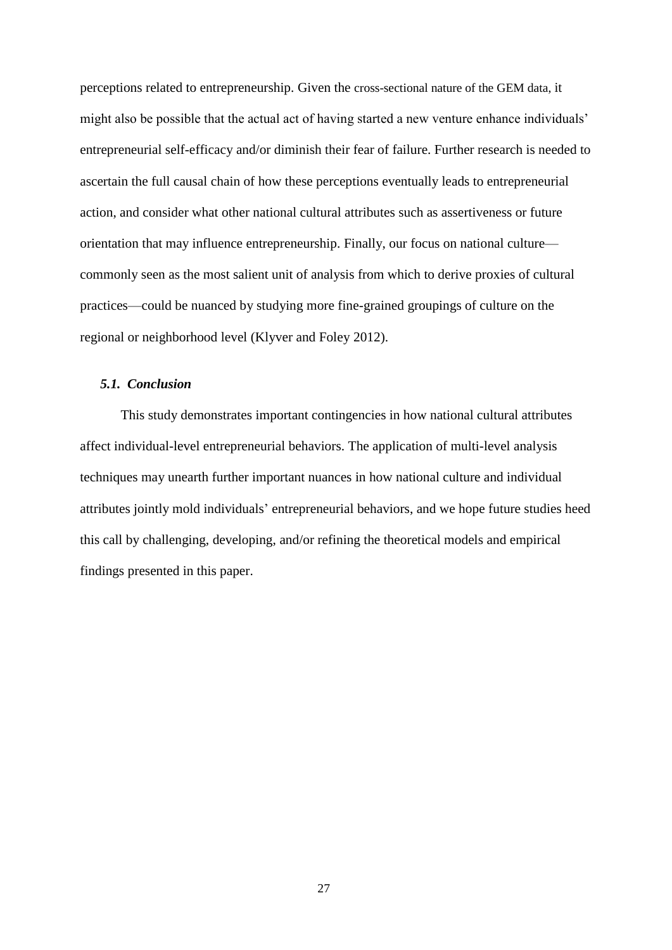perceptions related to entrepreneurship. Given the cross-sectional nature of the GEM data, it might also be possible that the actual act of having started a new venture enhance individuals' entrepreneurial self-efficacy and/or diminish their fear of failure. Further research is needed to ascertain the full causal chain of how these perceptions eventually leads to entrepreneurial action, and consider what other national cultural attributes such as assertiveness or future orientation that may influence entrepreneurship. Finally, our focus on national culture commonly seen as the most salient unit of analysis from which to derive proxies of cultural practices—could be nuanced by studying more fine-grained groupings of culture on the regional or neighborhood level (Klyver and Foley 2012).

#### *5.1. Conclusion*

This study demonstrates important contingencies in how national cultural attributes affect individual-level entrepreneurial behaviors. The application of multi-level analysis techniques may unearth further important nuances in how national culture and individual attributes jointly mold individuals' entrepreneurial behaviors, and we hope future studies heed this call by challenging, developing, and/or refining the theoretical models and empirical findings presented in this paper.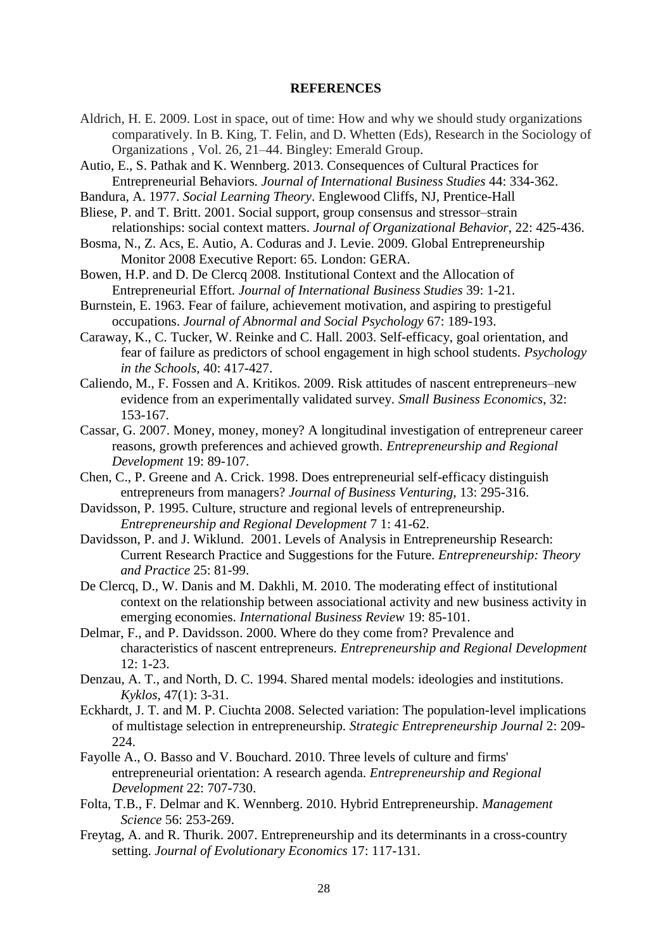# **REFERENCES**

- Aldrich, H. E. 2009. Lost in space, out of time: How and why we should study organizations comparatively. In B. King, T. Felin, and D. Whetten (Eds), Research in the Sociology of Organizations , Vol. 26, 21–44. Bingley: Emerald Group.
- Autio, E., S. Pathak and K. Wennberg. 2013. Consequences of Cultural Practices for Entrepreneurial Behaviors*. Journal of International Business Studies* 44: 334-362.
- Bandura, A. 1977. *Social Learning Theory*. Englewood Cliffs, NJ, Prentice-Hall
- Bliese, P. and T. Britt. 2001. Social support, group consensus and stressor–strain relationships: social context matters. *Journal of Organizational Behavior*, 22: 425-436.
- Bosma, N., Z. Acs, E. Autio, A. Coduras and J. Levie. 2009. Global Entrepreneurship Monitor 2008 Executive Report: 65. London: GERA.
- Bowen, H.P. and D. De Clercq 2008. Institutional Context and the Allocation of Entrepreneurial Effort. *Journal of International Business Studies* 39: 1-21.
- Burnstein, E. 1963. Fear of failure, achievement motivation, and aspiring to prestigeful occupations. *Journal of Abnormal and Social Psychology* 67: 189-193.
- Caraway, K., C. Tucker, W. Reinke and C. Hall. 2003. Self-efficacy, goal orientation, and fear of failure as predictors of school engagement in high school students. *Psychology in the Schools*, 40: 417-427.
- Caliendo, M., F. Fossen and A. Kritikos. 2009. Risk attitudes of nascent entrepreneurs–new evidence from an experimentally validated survey. *Small Business Economics*, 32: 153-167.
- Cassar, G. 2007. Money, money, money? A longitudinal investigation of entrepreneur career reasons, growth preferences and achieved growth. *Entrepreneurship and Regional Development* 19: 89-107.
- Chen, C., P. Greene and A. Crick. 1998. Does entrepreneurial self-efficacy distinguish entrepreneurs from managers? *Journal of Business Venturing*, 13: 295-316.
- Davidsson, P. 1995. Culture, structure and regional levels of entrepreneurship. *Entrepreneurship and Regional Development* 7 1: 41-62.
- Davidsson, P. and J. Wiklund. 2001. Levels of Analysis in Entrepreneurship Research: Current Research Practice and Suggestions for the Future. *Entrepreneurship: Theory and Practice* 25: 81-99.
- De Clercq, D., W. Danis and M. Dakhli, M. 2010. The moderating effect of institutional context on the relationship between associational activity and new business activity in emerging economies. *International Business Review* 19: 85-101.
- Delmar, F., and P. Davidsson. 2000. Where do they come from? Prevalence and characteristics of nascent entrepreneurs. *Entrepreneurship and Regional Development* 12: 1-23.
- Denzau, A. T., and North, D. C. 1994. Shared mental models: ideologies and institutions. *Kyklos*, 47(1): 3-31.
- Eckhardt, J. T. and M. P. Ciuchta 2008. Selected variation: The population-level implications of multistage selection in entrepreneurship. *Strategic Entrepreneurship Journal* 2: 209- 224.
- Fayolle A., O. Basso and V. Bouchard. 2010. Three levels of culture and firms' entrepreneurial orientation: A research agenda. *Entrepreneurship and Regional Development* 22: 707-730.
- Folta, T.B., F. Delmar and K. Wennberg. 2010. Hybrid Entrepreneurship. *Management Science* 56: 253-269.
- Freytag, A. and R. Thurik. 2007. Entrepreneurship and its determinants in a cross-country setting. *Journal of Evolutionary Economics* 17: 117-131.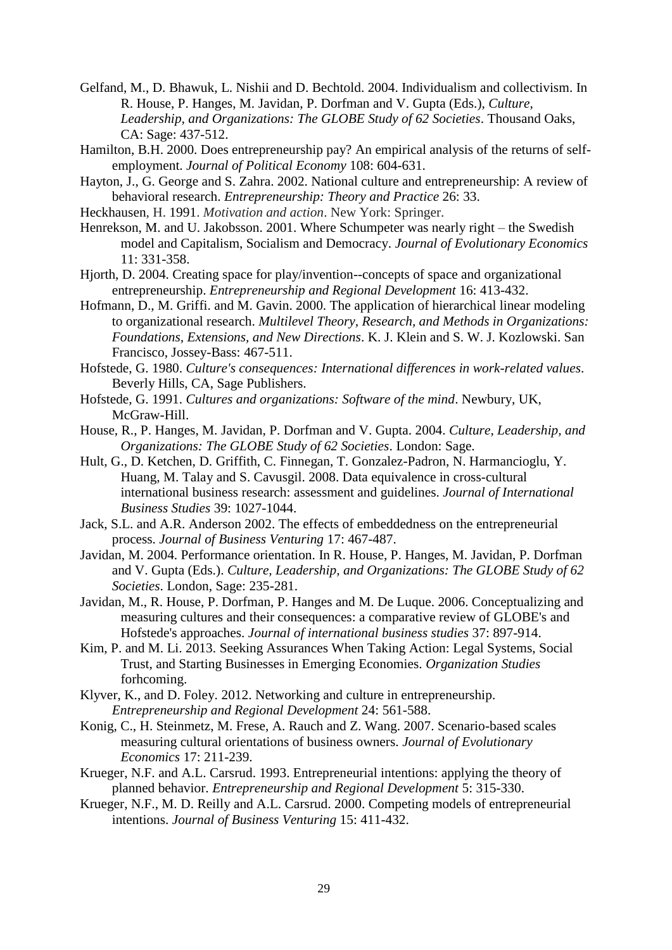- Gelfand, M., D. Bhawuk, L. Nishii and D. Bechtold. 2004. Individualism and collectivism. In R. House, P. Hanges, M. Javidan, P. Dorfman and V. Gupta (Eds.), *Culture, Leadership, and Organizations: The GLOBE Study of 62 Societies*. Thousand Oaks, CA: Sage: 437-512.
- Hamilton, B.H. 2000. Does entrepreneurship pay? An empirical analysis of the returns of selfemployment. *Journal of Political Economy* 108: 604-631.
- Hayton, J., G. George and S. Zahra. 2002. National culture and entrepreneurship: A review of behavioral research. *Entrepreneurship: Theory and Practice* 26: 33.
- Heckhausen, H. 1991. *Motivation and action*. New York: Springer.
- Henrekson, M. and U. Jakobsson. 2001. Where Schumpeter was nearly right the Swedish model and Capitalism, Socialism and Democracy. *Journal of Evolutionary Economics* 11: 331-358.
- Hjorth, D. 2004. Creating space for play/invention--concepts of space and organizational entrepreneurship. *Entrepreneurship and Regional Development* 16: 413-432.
- Hofmann, D., M. Griffi. and M. Gavin. 2000. The application of hierarchical linear modeling to organizational research. *Multilevel Theory, Research, and Methods in Organizations: Foundations, Extensions, and New Directions*. K. J. Klein and S. W. J. Kozlowski. San Francisco, Jossey-Bass: 467-511.
- Hofstede, G. 1980. *Culture's consequences: International differences in work-related values*. Beverly Hills, CA, Sage Publishers.
- Hofstede, G. 1991. *Cultures and organizations: Software of the mind*. Newbury, UK, McGraw-Hill.
- House, R., P. Hanges, M. Javidan, P. Dorfman and V. Gupta. 2004. *Culture, Leadership, and Organizations: The GLOBE Study of 62 Societies*. London: Sage.
- Hult, G., D. Ketchen, D. Griffith, C. Finnegan, T. Gonzalez-Padron, N. Harmancioglu, Y. Huang, M. Talay and S. Cavusgil. 2008. Data equivalence in cross-cultural international business research: assessment and guidelines. *Journal of International Business Studies* 39: 1027-1044.
- Jack, S.L. and A.R. Anderson 2002. The effects of embeddedness on the entrepreneurial process. *Journal of Business Venturing* 17: 467-487.
- Javidan, M. 2004. Performance orientation. In R. House, P. Hanges, M. Javidan, P. Dorfman and V. Gupta (Eds.). *Culture, Leadership, and Organizations: The GLOBE Study of 62 Societies*. London, Sage: 235-281.
- Javidan, M., R. House, P. Dorfman, P. Hanges and M. De Luque. 2006. Conceptualizing and measuring cultures and their consequences: a comparative review of GLOBE's and Hofstede's approaches. *Journal of international business studies* 37: 897-914.
- Kim, P. and M. Li. 2013. Seeking Assurances When Taking Action: Legal Systems, Social Trust, and Starting Businesses in Emerging Economies. *Organization Studies* forhcoming.
- Klyver, K., and D. Foley. 2012. Networking and culture in entrepreneurship. *Entrepreneurship and Regional Development* 24: 561-588.
- Konig, C., H. Steinmetz, M. Frese, A. Rauch and Z. Wang. 2007. Scenario-based scales measuring cultural orientations of business owners. *Journal of Evolutionary Economics* 17: 211-239.
- Krueger, N.F. and A.L. Carsrud. 1993. Entrepreneurial intentions: applying the theory of planned behavior. *Entrepreneurship and Regional Development* 5: 315-330.
- Krueger, N.F., M. D. Reilly and A.L. Carsrud. 2000. Competing models of entrepreneurial intentions. *Journal of Business Venturing* 15: 411-432.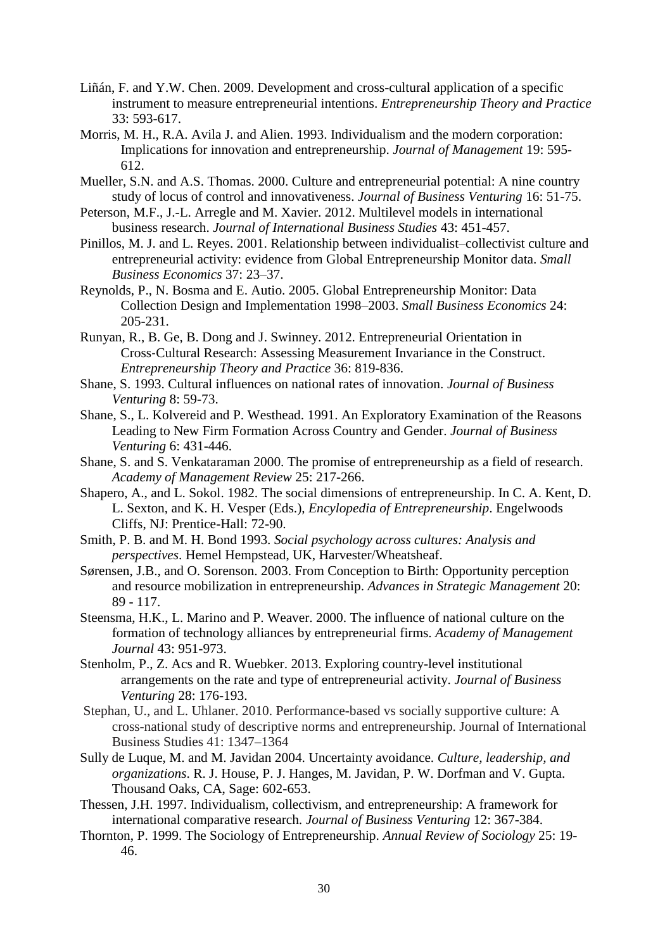- Liñán, F. and Y.W. Chen. 2009. Development and cross-cultural application of a specific instrument to measure entrepreneurial intentions. *Entrepreneurship Theory and Practice* 33: 593-617.
- Morris, M. H., R.A. Avila J. and Alien. 1993. Individualism and the modern corporation: Implications for innovation and entrepreneurship. *Journal of Management* 19: 595- 612.
- Mueller, S.N. and A.S. Thomas. 2000. Culture and entrepreneurial potential: A nine country study of locus of control and innovativeness. *Journal of Business Venturing* 16: 51-75.
- Peterson, M.F., J.-L. Arregle and M. Xavier. 2012. Multilevel models in international business research. *Journal of International Business Studies* 43: 451-457.
- Pinillos, M. J. and L. Reyes. 2001. Relationship between individualist–collectivist culture and entrepreneurial activity: evidence from Global Entrepreneurship Monitor data. *Small Business Economics* 37: 23–37.
- Reynolds, P., N. Bosma and E. Autio. 2005. Global Entrepreneurship Monitor: Data Collection Design and Implementation 1998–2003. *Small Business Economics* 24: 205-231.
- Runyan, R., B. Ge, B. Dong and J. Swinney. 2012. Entrepreneurial Orientation in Cross‐Cultural Research: Assessing Measurement Invariance in the Construct. *Entrepreneurship Theory and Practice* 36: 819-836.
- Shane, S. 1993. Cultural influences on national rates of innovation. *Journal of Business Venturing* 8: 59-73.
- Shane, S., L. Kolvereid and P. Westhead. 1991. An Exploratory Examination of the Reasons Leading to New Firm Formation Across Country and Gender. *Journal of Business Venturing* 6: 431-446.
- Shane, S. and S. Venkataraman 2000. The promise of entrepreneurship as a field of research. *Academy of Management Review* 25: 217-266.
- Shapero, A., and L. Sokol. 1982. The social dimensions of entrepreneurship. In C. A. Kent, D. L. Sexton, and K. H. Vesper (Eds.), *Encylopedia of Entrepreneurship*. Engelwoods Cliffs, NJ: Prentice-Hall: 72-90.
- Smith, P. B. and M. H. Bond 1993. *Social psychology across cultures: Analysis and perspectives*. Hemel Hempstead, UK, Harvester/Wheatsheaf.
- Sørensen, J.B., and O. Sorenson. 2003. From Conception to Birth: Opportunity perception and resource mobilization in entrepreneurship. *Advances in Strategic Management* 20: 89 - 117.
- Steensma, H.K., L. Marino and P. Weaver. 2000. The influence of national culture on the formation of technology alliances by entrepreneurial firms. *Academy of Management Journal* 43: 951-973.
- Stenholm, P., Z. Acs and R. Wuebker. 2013. Exploring country-level institutional arrangements on the rate and type of entrepreneurial activity. *Journal of Business Venturing* 28: 176-193.
- Stephan, U., and L. Uhlaner. 2010. Performance-based vs socially supportive culture: A cross-national study of descriptive norms and entrepreneurship. Journal of International Business Studies 41: 1347–1364
- Sully de Luque, M. and M. Javidan 2004. Uncertainty avoidance. *Culture, leadership, and organizations*. R. J. House, P. J. Hanges, M. Javidan, P. W. Dorfman and V. Gupta. Thousand Oaks, CA, Sage: 602-653.
- Thessen, J.H. 1997. Individualism, collectivism, and entrepreneurship: A framework for international comparative research. *Journal of Business Venturing* 12: 367-384.
- Thornton, P. 1999. The Sociology of Entrepreneurship. *Annual Review of Sociology* 25: 19- 46.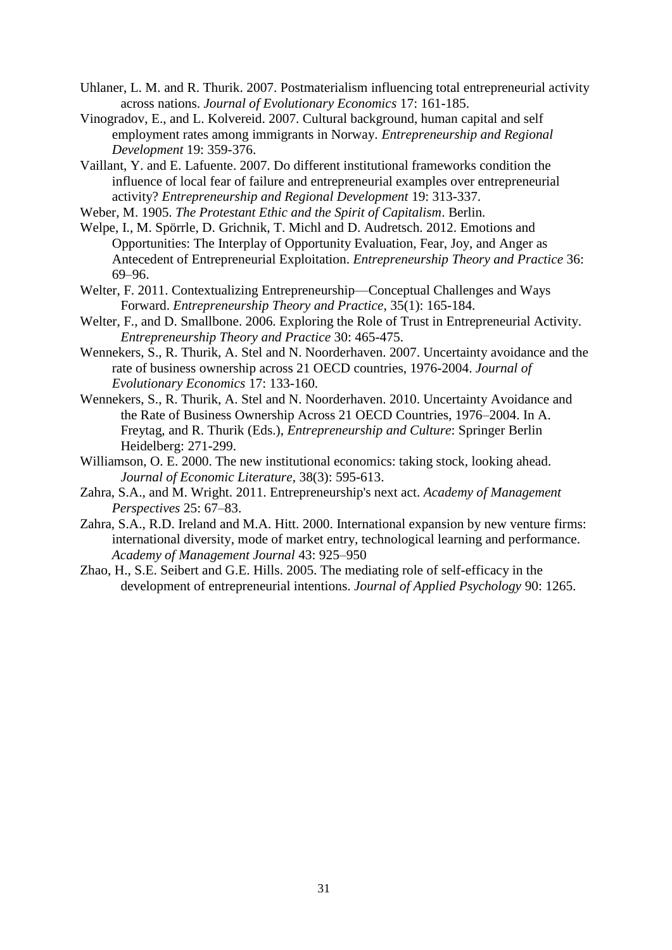- Uhlaner, L. M. and R. Thurik. 2007. Postmaterialism influencing total entrepreneurial activity across nations. *Journal of Evolutionary Economics* 17: 161-185.
- Vinogradov, E., and L. Kolvereid. 2007. Cultural background, human capital and self employment rates among immigrants in Norway. *Entrepreneurship and Regional Development* 19: 359-376.
- Vaillant, Y. and E. Lafuente. 2007. Do different institutional frameworks condition the influence of local fear of failure and entrepreneurial examples over entrepreneurial activity? *Entrepreneurship and Regional Development* 19: 313-337.
- Weber, M. 1905. *The Protestant Ethic and the Spirit of Capitalism*. Berlin.
- Welpe, I., M. Spörrle, D. Grichnik, T. Michl and D. Audretsch. 2012. Emotions and Opportunities: The Interplay of Opportunity Evaluation, Fear, Joy, and Anger as Antecedent of Entrepreneurial Exploitation. *Entrepreneurship Theory and Practice* 36: 69–96.
- Welter, F. 2011. Contextualizing Entrepreneurship—Conceptual Challenges and Ways Forward. *Entrepreneurship Theory and Practice*, 35(1): 165-184.
- Welter, F., and D. Smallbone. 2006. Exploring the Role of Trust in Entrepreneurial Activity. *Entrepreneurship Theory and Practice* 30: 465-475.
- Wennekers, S., R. Thurik, A. Stel and N. Noorderhaven. 2007. Uncertainty avoidance and the rate of business ownership across 21 OECD countries, 1976-2004. *Journal of Evolutionary Economics* 17: 133-160.
- Wennekers, S., R. Thurik, A. Stel and N. Noorderhaven. 2010. Uncertainty Avoidance and the Rate of Business Ownership Across 21 OECD Countries, 1976–2004. In A. Freytag, and R. Thurik (Eds.), *Entrepreneurship and Culture*: Springer Berlin Heidelberg: 271-299.
- Williamson, O. E. 2000. The new institutional economics: taking stock, looking ahead. *Journal of Economic Literature*, 38(3): 595-613.
- Zahra, S.A., and M. Wright. 2011. Entrepreneurship's next act. *Academy of Management Perspectives* 25: 67–83.
- Zahra, S.A., R.D. Ireland and M.A. Hitt. 2000. International expansion by new venture firms: international diversity, mode of market entry, technological learning and performance. *Academy of Management Journal* 43: 925–950
- Zhao, H., S.E. Seibert and G.E. Hills. 2005. The mediating role of self-efficacy in the development of entrepreneurial intentions. *Journal of Applied Psychology* 90: 1265.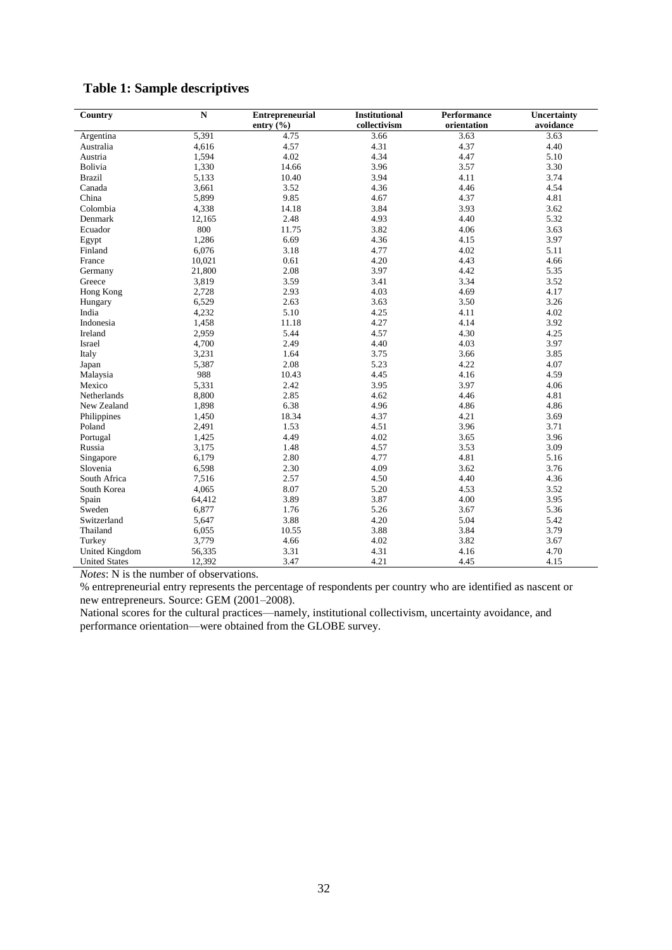| Country              | ${\bf N}$ |               | <b>Institutional</b><br><b>Entrepreneurial</b> |             | <b>Uncertainty</b> |
|----------------------|-----------|---------------|------------------------------------------------|-------------|--------------------|
|                      |           | entry $(\% )$ | collectivism                                   | orientation | avoidance          |
| Argentina            | 5,391     | 4.75          | 3.66                                           | 3.63        | 3.63               |
| Australia            | 4,616     | 4.57          | 4.31                                           | 4.37        | 4.40               |
| Austria              | 1,594     | 4.02          | 4.34                                           | 4.47        | 5.10               |
| Bolivia              | 1,330     | 14.66         | 3.96                                           | 3.57        | 3.30               |
| <b>Brazil</b>        | 5,133     | 10.40         | 3.94                                           | 4.11        | 3.74               |
| Canada               | 3,661     | 3.52          | 4.36                                           | 4.46        | 4.54               |
| China                | 5,899     | 9.85          | 4.67                                           | 4.37        | 4.81               |
| Colombia             | 4,338     | 14.18         | 3.84                                           | 3.93        | 3.62               |
| Denmark              | 12,165    | 2.48          | 4.93                                           | 4.40        | 5.32               |
| Ecuador              | 800       | 11.75         | 3.82                                           | 4.06        | 3.63               |
| Egypt                | 1,286     | 6.69          | 4.36                                           | 4.15        | 3.97               |
| Finland              | 6,076     | 3.18          | 4.77                                           | 4.02        | 5.11               |
| France               | 10,021    | 0.61          | 4.20                                           | 4.43        | 4.66               |
| Germany              | 21,800    | 2.08          | 3.97                                           | 4.42        | 5.35               |
| Greece               | 3,819     | 3.59          | 3.41                                           | 3.34        | 3.52               |
| Hong Kong            | 2,728     | 2.93          | 4.03                                           | 4.69        | 4.17               |
| Hungary              | 6,529     | 2.63          | 3.63                                           | 3.50        | 3.26               |
| India                | 4,232     | 5.10          | 4.25                                           | 4.11        | 4.02               |
| Indonesia            | 1,458     | 11.18         | 4.27                                           | 4.14        | 3.92               |
| Ireland              | 2,959     | 5.44          | 4.57                                           | 4.30        | 4.25               |
| Israel               | 4,700     | 2.49          | 4.40                                           | 4.03        | 3.97               |
| Italy                | 3,231     | 1.64          | 3.75                                           | 3.66        | 3.85               |
| Japan                | 5,387     | 2.08          | 5.23                                           | 4.22        | 4.07               |
| Malaysia             | 988       | 10.43         | 4.45                                           | 4.16        | 4.59               |
| Mexico               | 5,331     | 2.42          | 3.95                                           | 3.97        | 4.06               |
| Netherlands          | 8,800     | 2.85          | 4.62                                           | 4.46        | 4.81               |
| New Zealand          | 1,898     | 6.38          | 4.96                                           | 4.86        | 4.86               |
| Philippines          | 1,450     | 18.34         | 4.37                                           | 4.21        | 3.69               |
| Poland               | 2,491     | 1.53          | 4.51                                           | 3.96        | 3.71               |
| Portugal             | 1,425     | 4.49          | 4.02                                           | 3.65        | 3.96               |
| Russia               | 3,175     | 1.48          | 4.57                                           | 3.53        | 3.09               |
| Singapore            | 6,179     | 2.80          | 4.77                                           | 4.81        | 5.16               |
| Slovenia             | 6,598     | 2.30          | 4.09                                           | 3.62        | 3.76               |
| South Africa         | 7,516     | 2.57          | 4.50                                           | 4.40        | 4.36               |
| South Korea          | 4,065     | 8.07          | 5.20                                           | 4.53        | 3.52               |
| Spain                | 64,412    | 3.89          | 3.87                                           | 4.00        | 3.95               |
| Sweden               | 6,877     | 1.76          | 5.26                                           | 3.67        | 5.36               |
| Switzerland          | 5,647     | 3.88          | 4.20                                           | 5.04        | 5.42               |
| Thailand             | 6,055     | 10.55         | 3.88                                           | 3.84        | 3.79               |
| Turkey               | 3,779     | 4.66          | 4.02                                           | 3.82        | 3.67               |
| United Kingdom       | 56,335    | 3.31          | 4.31                                           | 4.16        | 4.70               |
| <b>United States</b> | 12,392    | 3.47          | 4.21                                           | 4.45        | 4.15               |

*Notes*: N is the number of observations.

% entrepreneurial entry represents the percentage of respondents per country who are identified as nascent or new entrepreneurs. Source: GEM (2001–2008).

National scores for the cultural practices—namely, institutional collectivism, uncertainty avoidance, and performance orientation—were obtained from the GLOBE survey.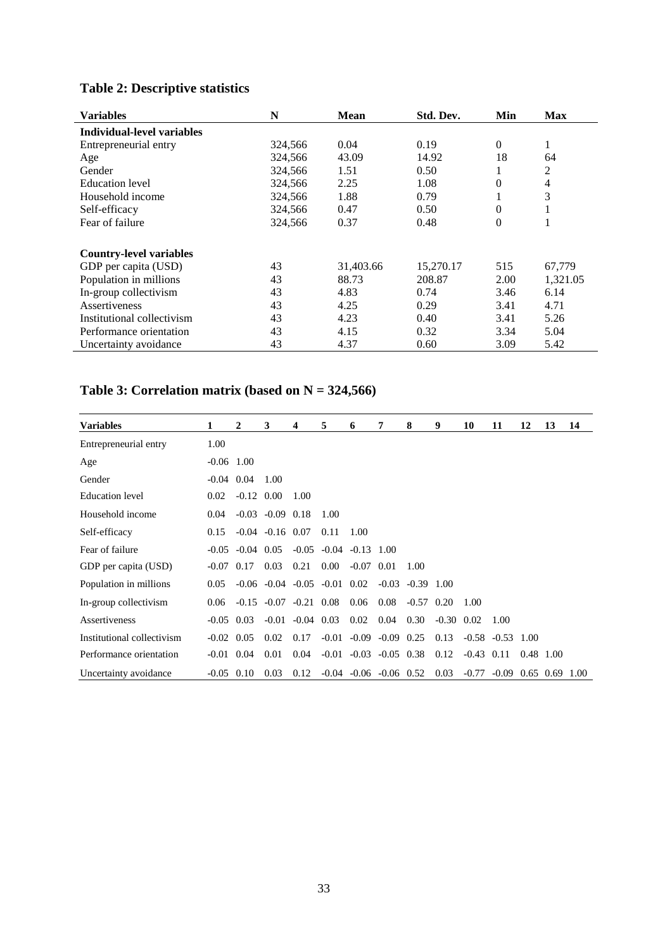| <b>Variables</b>               | N       | <b>Mean</b> | Std. Dev. | Min              | Max            |
|--------------------------------|---------|-------------|-----------|------------------|----------------|
| Individual-level variables     |         |             |           |                  |                |
| Entrepreneurial entry          | 324,566 | 0.04        | 0.19      | $\mathbf{0}$     | 1              |
| Age                            | 324,566 | 43.09       | 14.92     | 18               | 64             |
| Gender                         | 324,566 | 1.51        | 0.50      | $\perp$          | 2              |
| Education level                | 324,566 | 2.25        | 1.08      | $\theta$         | $\overline{4}$ |
| Household income               | 324,566 | 1.88        | 0.79      | 1                | 3              |
| Self-efficacy                  | 324,566 | 0.47        | 0.50      | $\overline{0}$   | 1              |
| Fear of failure                | 324,566 | 0.37        | 0.48      | $\boldsymbol{0}$ | 1              |
| <b>Country-level variables</b> |         |             |           |                  |                |
| GDP per capita (USD)           | 43      | 31,403.66   | 15,270.17 | 515              | 67,779         |
| Population in millions         | 43      | 88.73       | 208.87    | 2.00             | 1,321.05       |
| In-group collectivism          | 43      | 4.83        | 0.74      | 3.46             | 6.14           |
| Assertiveness                  | 43      | 4.25        | 0.29      | 3.41             | 4.71           |
| Institutional collectivism     | 43      | 4.23        | 0.40      | 3.41             | 5.26           |
| Performance orientation        | 43      | 4.15        | 0.32      | 3.34             | 5.04           |
| Uncertainty avoidance          | 43      | 4.37        | 0.60      | 3.09             | 5.42           |

# **Table 2: Descriptive statistics**

# **Table 3: Correlation matrix (based on N = 324,566)**

| <b>Variables</b>           |              | 2            | 3                      | 4                    | 5                                      | 6                      | 7                                     | 8                    | 9              | 10           | 11                   | 12          | 13 | 14   |
|----------------------------|--------------|--------------|------------------------|----------------------|----------------------------------------|------------------------|---------------------------------------|----------------------|----------------|--------------|----------------------|-------------|----|------|
| Entrepreneurial entry      | 1.00         |              |                        |                      |                                        |                        |                                       |                      |                |              |                      |             |    |      |
| Age                        | $-0.06$ 1.00 |              |                        |                      |                                        |                        |                                       |                      |                |              |                      |             |    |      |
| Gender                     | $-0.04$      | 0.04         | 1.00                   |                      |                                        |                        |                                       |                      |                |              |                      |             |    |      |
| Education level            | 0.02         | $-0.12$ 0.00 |                        | 1.00                 |                                        |                        |                                       |                      |                |              |                      |             |    |      |
| Household income           | 0.04         |              | $-0.03$ $-0.09$ $0.18$ |                      | 1.00                                   |                        |                                       |                      |                |              |                      |             |    |      |
| Self-efficacy              | 0.15         |              | $-0.04$ $-0.16$ 0.07   |                      | 0.11                                   | 1.00                   |                                       |                      |                |              |                      |             |    |      |
| Fear of failure            | $-0.05$      | $-0.04$ 0.05 |                        | $-0.05$              |                                        | $-0.04$ $-0.13$ $1.00$ |                                       |                      |                |              |                      |             |    |      |
| GDP per capita (USD)       | $-0.07$      | 0.17         | 0.03                   | 0.21                 | 0.00                                   | $-0.07$ 0.01           |                                       | 1.00                 |                |              |                      |             |    |      |
| Population in millions     | 0.05         |              |                        |                      | $-0.06$ $-0.04$ $-0.05$ $-0.01$ $0.02$ |                        |                                       | $-0.03$ $-0.39$ 1.00 |                |              |                      |             |    |      |
| In-group collectivism      | 0.06         | $-0.15$      | $-0.07$                | $-0.21$ 0.08         |                                        | 0.06                   | 0.08                                  | $-0.57$ 0.20         |                | 1.00         |                      |             |    |      |
| Assertiveness              | $-0.05$ 0.03 |              |                        | $-0.01$ $-0.04$ 0.03 |                                        | 0.02                   | 0.04                                  | 0.30                 | $-0.30$ $0.02$ |              | 1.00                 |             |    |      |
| Institutional collectivism | $-0.02$      | 0.05         | 0.02                   | 0.17                 |                                        | $-0.01 - 0.09$         | $-0.09$ 0.25                          |                      | 0.13           |              | $-0.58$ $-0.53$ 1.00 |             |    |      |
| Performance orientation    | $-0.01$ 0.04 |              | 0.01                   | 0.04                 |                                        |                        | $-0.01$ $-0.03$ $-0.05$ $0.38$ $0.12$ |                      |                | $-0.43$ 0.11 |                      | 0.48 1.00   |    |      |
| Uncertainty avoidance      | $-0.05$ 0.10 |              | 0.03                   | 0.12                 |                                        |                        | $-0.04$ $-0.06$ $-0.06$ $0.52$        |                      | 0.03           | $-0.77$      | $-0.09$              | $0.65$ 0.69 |    | 1.00 |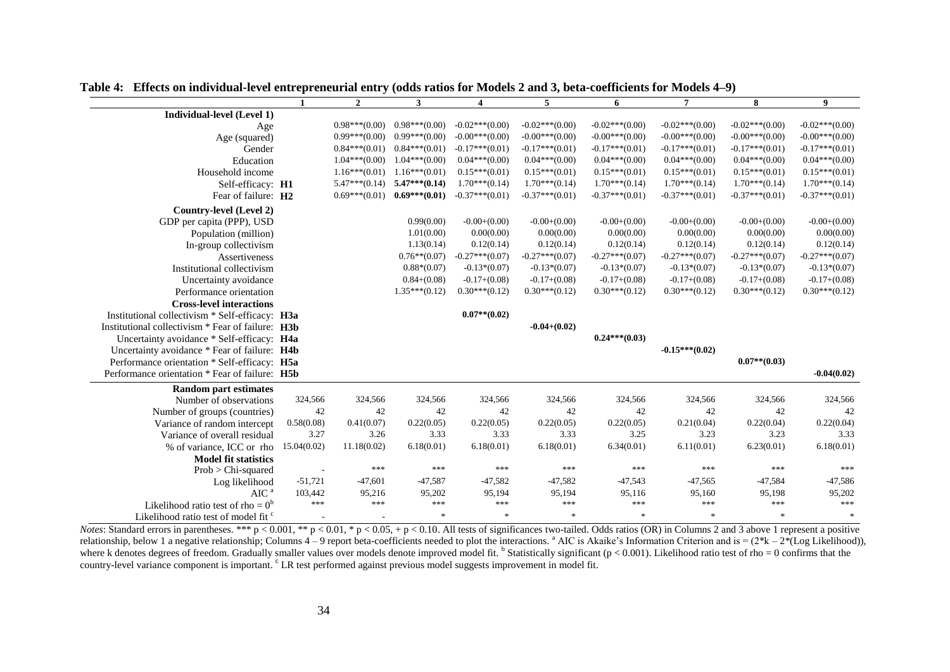|                                                          | $\mathbf{1}$ | $\overline{2}$  | $\mathbf{3}$    | $\overline{\mathbf{4}}$ | 5                | 6                | $\overline{7}$   | 8                | 9                |
|----------------------------------------------------------|--------------|-----------------|-----------------|-------------------------|------------------|------------------|------------------|------------------|------------------|
| Individual-level (Level 1)                               |              |                 |                 |                         |                  |                  |                  |                  |                  |
| Age                                                      |              | $0.98***(0.00)$ | $0.98***(0.00)$ | $-0.02***(0.00)$        | $-0.02***(0.00)$ | $-0.02***(0.00)$ | $-0.02***(0.00)$ | $-0.02***(0.00)$ | $-0.02***(0.00)$ |
| Age (squared)                                            |              | $0.99***(0.00)$ | $0.99***(0.00)$ | $-0.00***(0.00)$        | $-0.00***(0.00)$ | $-0.00***(0.00)$ | $-0.00***(0.00)$ | $-0.00***(0.00)$ | $-0.00***(0.00)$ |
| Gender                                                   |              | $0.84***(0.01)$ | $0.84***(0.01)$ | $-0.17***(0.01)$        | $-0.17***(0.01)$ | $-0.17***(0.01)$ | $-0.17***(0.01)$ | $-0.17***(0.01)$ | $-0.17***(0.01)$ |
| Education                                                |              | $1.04***(0.00)$ | $1.04***(0.00)$ | $0.04***(0.00)$         | $0.04***(0.00)$  | $0.04***(0.00)$  | $0.04***(0.00)$  | $0.04***(0.00)$  | $0.04***(0.00)$  |
| Household income                                         |              | $1.16***(0.01)$ | $1.16***(0.01)$ | $0.15***(0.01)$         | $0.15***(0.01)$  | $0.15***(0.01)$  | $0.15***(0.01)$  | $0.15***(0.01)$  | $0.15***(0.01)$  |
| Self-efficacy: H1                                        |              | $5.47***(0.14)$ | $5.47***(0.14)$ | $1.70***(0.14)$         | $1.70***(0.14)$  | $1.70***(0.14)$  | $1.70***(0.14)$  | $1.70***(0.14)$  | $1.70***(0.14)$  |
| Fear of failure: H <sub>2</sub>                          |              | $0.69***(0.01)$ | $0.69***(0.01)$ | $-0.37***(0.01)$        | $-0.37***(0.01)$ | $-0.37***(0.01)$ | $-0.37***(0.01)$ | $-0.37***(0.01)$ | $-0.37***(0.01)$ |
| Country-level (Level 2)                                  |              |                 |                 |                         |                  |                  |                  |                  |                  |
| GDP per capita (PPP), USD                                |              |                 | 0.99(0.00)      | $-0.00+(0.00)$          | $-0.00+(0.00)$   | $-0.00+(0.00)$   | $-0.00+(0.00)$   | $-0.00+(0.00)$   | $-0.00+(0.00)$   |
| Population (million)                                     |              |                 | 1.01(0.00)      | 0.00(0.00)              | 0.00(0.00)       | 0.00(0.00)       | 0.00(0.00)       | 0.00(0.00)       | 0.00(0.00)       |
| In-group collectivism                                    |              |                 | 1.13(0.14)      | 0.12(0.14)              | 0.12(0.14)       | 0.12(0.14)       | 0.12(0.14)       | 0.12(0.14)       | 0.12(0.14)       |
| Assertiveness                                            |              |                 | $0.76**$ (0.07) | $-0.27***(0.07)$        | $-0.27***(0.07)$ | $-0.27***(0.07)$ | $-0.27***(0.07)$ | $-0.27***(0.07)$ | $-0.27***(0.07)$ |
| Institutional collectivism                               |              |                 | $0.88*(0.07)$   | $-0.13*(0.07)$          | $-0.13*(0.07)$   | $-0.13*(0.07)$   | $-0.13*(0.07)$   | $-0.13*(0.07)$   | $-0.13*(0.07)$   |
| Uncertainty avoidance                                    |              |                 | $0.84+(0.08)$   | $-0.17+(0.08)$          | $-0.17+(0.08)$   | $-0.17+(0.08)$   | $-0.17+(0.08)$   | $-0.17+(0.08)$   | $-0.17+(0.08)$   |
| Performance orientation                                  |              |                 | $1.35***(0.12)$ | $0.30***(0.12)$         | $0.30***(0.12)$  | $0.30***(0.12)$  | $0.30***(0.12)$  | $0.30***(0.12)$  | $0.30***(0.12)$  |
| <b>Cross-level interactions</b>                          |              |                 |                 |                         |                  |                  |                  |                  |                  |
| Institutional collectivism * Self-efficacy: H3a          |              |                 |                 | $0.07**$ (0.02)         |                  |                  |                  |                  |                  |
| Institutional collectivism * Fear of failure: <b>H3b</b> |              |                 |                 |                         | $-0.04 + (0.02)$ |                  |                  |                  |                  |
| Uncertainty avoidance * Self-efficacy: H4a               |              |                 |                 |                         |                  | $0.24***(0.03)$  |                  |                  |                  |
| Uncertainty avoidance * Fear of failure: H4b             |              |                 |                 |                         |                  |                  | $-0.15***(0.02)$ |                  |                  |
| Performance orientation * Self-efficacy: H5a             |              |                 |                 |                         |                  |                  |                  | $0.07**$ (0.03)  |                  |
| Performance orientation * Fear of failure: H5b           |              |                 |                 |                         |                  |                  |                  |                  | $-0.04(0.02)$    |
| <b>Random part estimates</b>                             |              |                 |                 |                         |                  |                  |                  |                  |                  |
| Number of observations                                   | 324,566      | 324,566         | 324,566         | 324,566                 | 324,566          | 324,566          | 324,566          | 324,566          | 324,566          |
| Number of groups (countries)                             | 42           | 42              | 42              | 42                      | 42               | 42               | 42               | 42               | 42               |
| Variance of random intercept                             | 0.58(0.08)   | 0.41(0.07)      | 0.22(0.05)      | 0.22(0.05)              | 0.22(0.05)       | 0.22(0.05)       | 0.21(0.04)       | 0.22(0.04)       | 0.22(0.04)       |
| Variance of overall residual                             | 3.27         | 3.26            | 3.33            | 3.33                    | 3.33             | 3.25             | 3.23             | 3.23             | 3.33             |
| % of variance, ICC or rho                                | 15.04(0.02)  | 11.18(0.02)     | 6.18(0.01)      | 6.18(0.01)              | 6.18(0.01)       | 6.34(0.01)       | 6.11(0.01)       | 6.23(0.01)       | 6.18(0.01)       |
| <b>Model fit statistics</b>                              |              |                 |                 |                         |                  |                  |                  |                  |                  |
| Prob > Chi-squared                                       | $\sim$       | ***             | ***             | ***                     | ***              | ***              | ***              | ***              | ***              |
| Log likelihood                                           | $-51,721$    | $-47,601$       | $-47,587$       | $-47,582$               | $-47,582$        | $-47,543$        | $-47,565$        | $-47,584$        | $-47,586$        |
| AIC <sup>a</sup>                                         | 103,442      | 95,216          | 95,202          | 95,194                  | 95,194           | 95,116           | 95,160           | 95,198           | 95,202           |
| Likelihood ratio test of rho = $0^b$                     | ***          | ***             | ***             | ***                     | ***              | $***$            | ***              | ***              | ***              |
| Likelihood ratio test of model fit <sup>c</sup>          |              |                 | $\ast$          | $\mathcal{R}$           | $\frac{1}{2}$    | $\ast$           | $\ast$           | $\ast$           | $\ast$           |

**Table 4: Effects on individual-level entrepreneurial entry (odds ratios for Models 2 and 3, beta-coefficients for Models 4–9)**

*Notes*: Standard errors in parentheses. \*\*\* p < 0.001, \*\* p < 0.01, \* p < 0.05, + p < 0.10. All tests of significances two-tailed. Odds ratios (OR) in Columns 2 and 3 above 1 represent a positive relationship, below 1 a negative relationship; Columns  $4-9$  report beta-coefficients needed to plot the interactions. <sup>a</sup> AIC is Akaike's Information Criterion and is =  $(2^*k - 2^*(Log Likelihood))$ , where k denotes degrees of freedom. Gradually smaller values over models denote improved model fit.  $b$  Statistically significant ( $p < 0.001$ ). Likelihood ratio test of rho = 0 confirms that the country-level variance component is important. c LR test performed against previous model suggests improvement in model fit.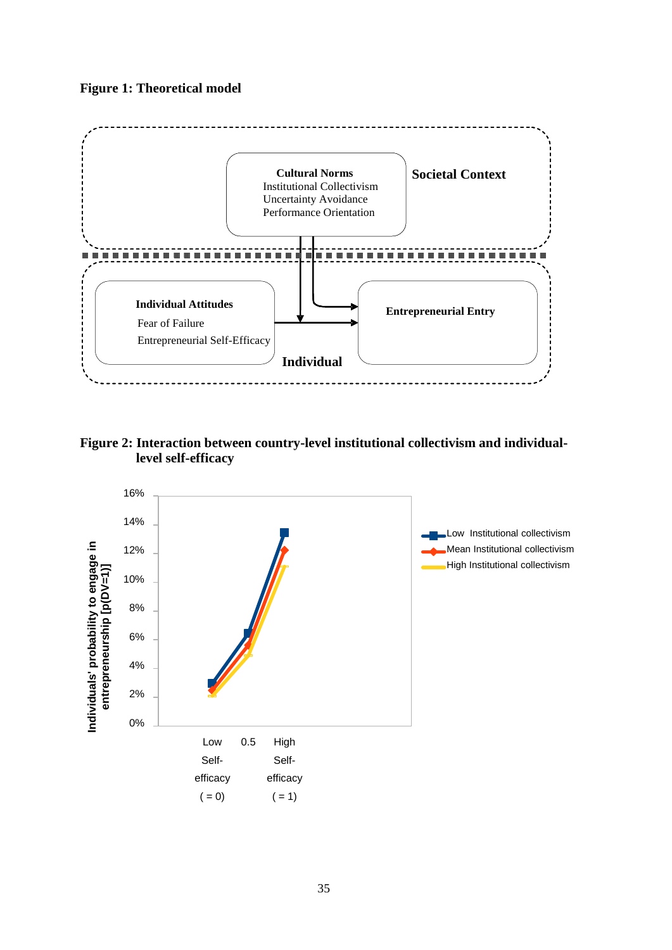# **Figure 1: Theoretical model**



**Figure 2: Interaction between country-level institutional collectivism and individuallevel self-efficacy**

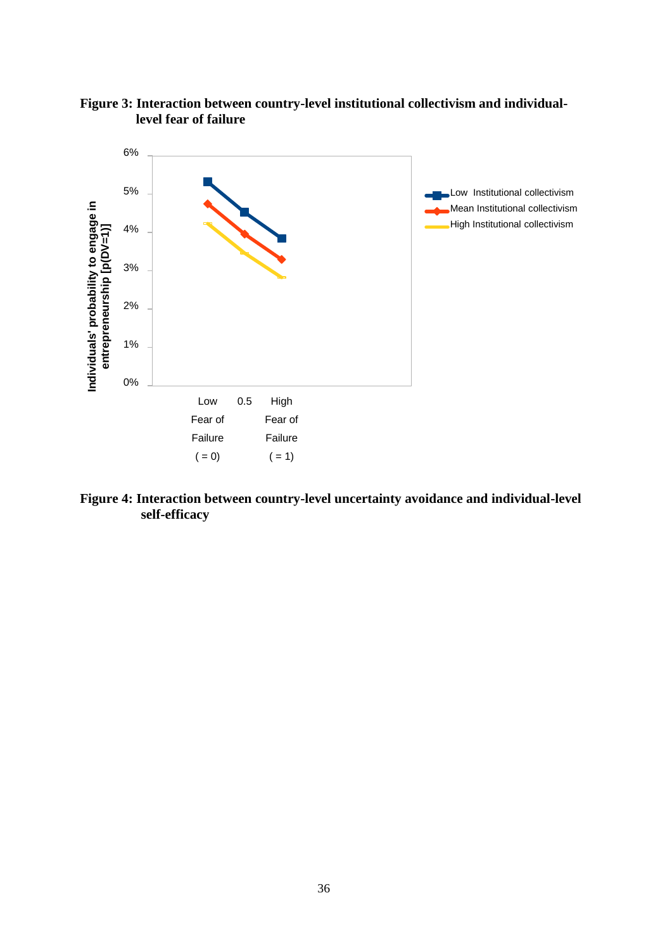

**Figure 3: Interaction between country-level institutional collectivism and individuallevel fear of failure**

**Figure 4: Interaction between country-level uncertainty avoidance and individual-level self-efficacy**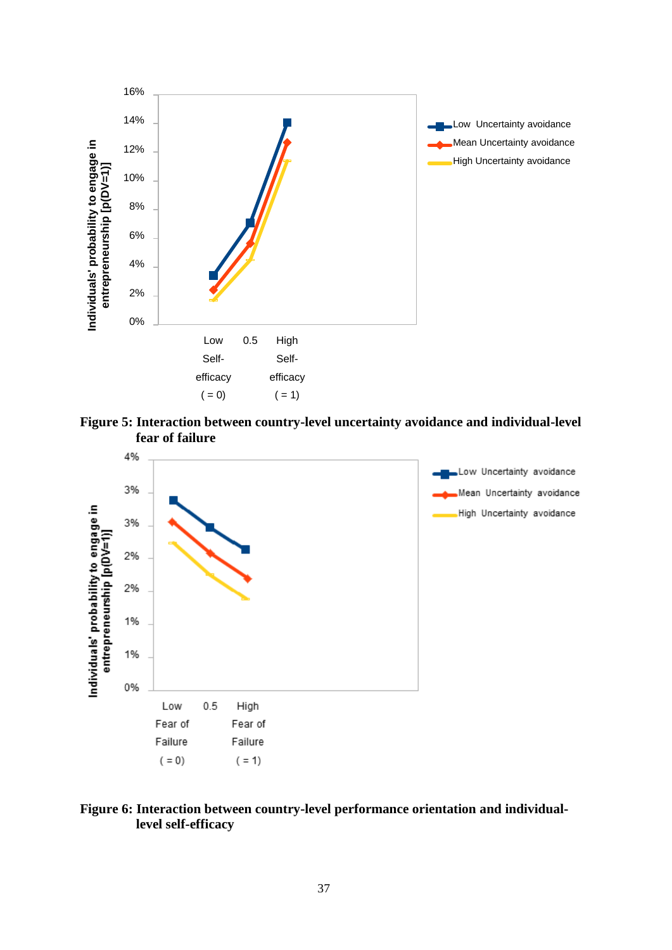

**Figure 5: Interaction between country-level uncertainty avoidance and individual-level fear of failure**



# **Figure 6: Interaction between country-level performance orientation and individuallevel self-efficacy**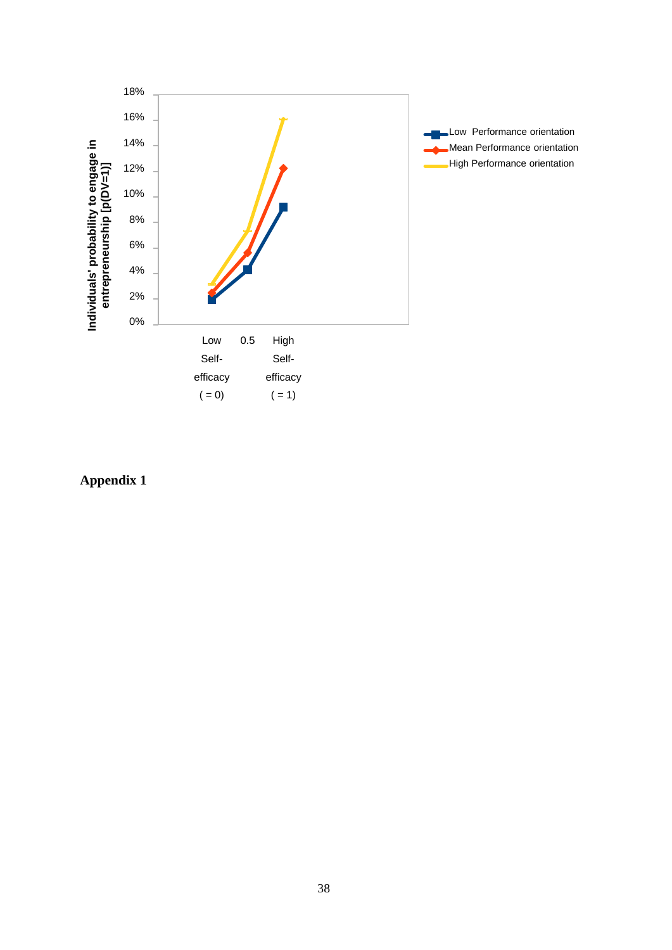

Low Performance orientation Mean Performance orientation High Performance orientation

**Appendix 1**